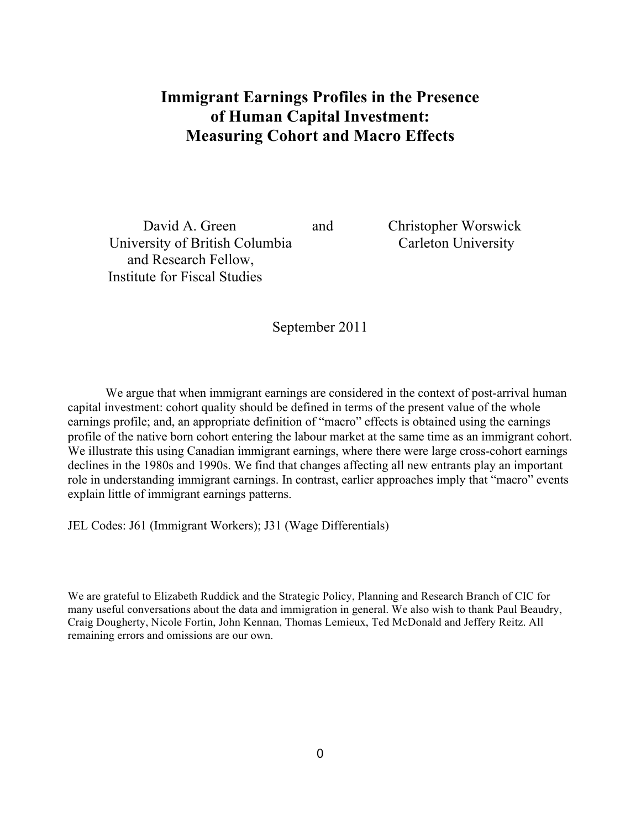# **Immigrant Earnings Profiles in the Presence of Human Capital Investment: Measuring Cohort and Macro Effects**

David A. Green and Christopher Worswick University of British Columbia Carleton University and Research Fellow, Institute for Fiscal Studies

September 2011

We argue that when immigrant earnings are considered in the context of post-arrival human capital investment: cohort quality should be defined in terms of the present value of the whole earnings profile; and, an appropriate definition of "macro" effects is obtained using the earnings profile of the native born cohort entering the labour market at the same time as an immigrant cohort. We illustrate this using Canadian immigrant earnings, where there were large cross-cohort earnings declines in the 1980s and 1990s. We find that changes affecting all new entrants play an important role in understanding immigrant earnings. In contrast, earlier approaches imply that "macro" events explain little of immigrant earnings patterns.

JEL Codes: J61 (Immigrant Workers); J31 (Wage Differentials)

We are grateful to Elizabeth Ruddick and the Strategic Policy, Planning and Research Branch of CIC for many useful conversations about the data and immigration in general. We also wish to thank Paul Beaudry, Craig Dougherty, Nicole Fortin, John Kennan, Thomas Lemieux, Ted McDonald and Jeffery Reitz. All remaining errors and omissions are our own.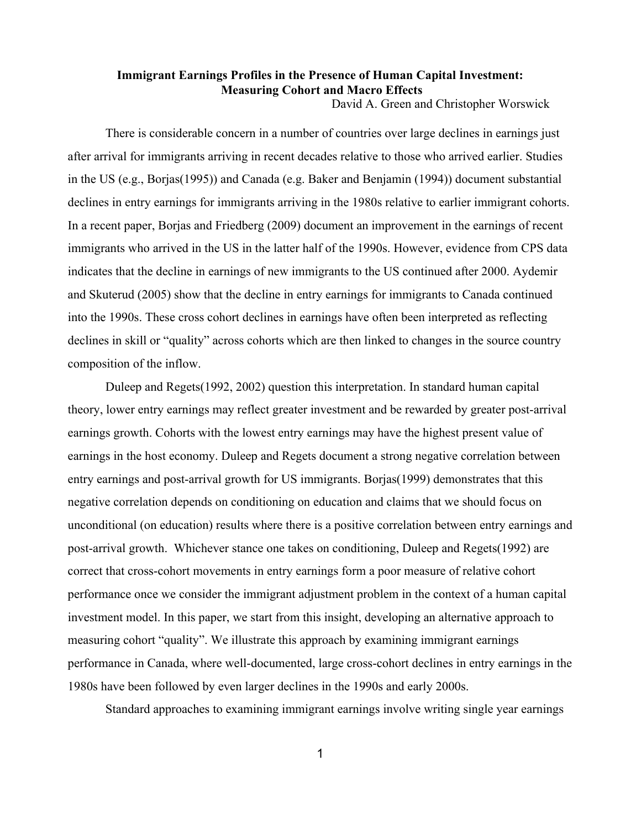# **Immigrant Earnings Profiles in the Presence of Human Capital Investment: Measuring Cohort and Macro Effects**

David A. Green and Christopher Worswick

There is considerable concern in a number of countries over large declines in earnings just after arrival for immigrants arriving in recent decades relative to those who arrived earlier. Studies in the US (e.g., Borjas(1995)) and Canada (e.g. Baker and Benjamin (1994)) document substantial declines in entry earnings for immigrants arriving in the 1980s relative to earlier immigrant cohorts. In a recent paper, Borjas and Friedberg (2009) document an improvement in the earnings of recent immigrants who arrived in the US in the latter half of the 1990s. However, evidence from CPS data indicates that the decline in earnings of new immigrants to the US continued after 2000. Aydemir and Skuterud (2005) show that the decline in entry earnings for immigrants to Canada continued into the 1990s. These cross cohort declines in earnings have often been interpreted as reflecting declines in skill or "quality" across cohorts which are then linked to changes in the source country composition of the inflow.

Duleep and Regets(1992, 2002) question this interpretation. In standard human capital theory, lower entry earnings may reflect greater investment and be rewarded by greater post-arrival earnings growth. Cohorts with the lowest entry earnings may have the highest present value of earnings in the host economy. Duleep and Regets document a strong negative correlation between entry earnings and post-arrival growth for US immigrants. Borjas(1999) demonstrates that this negative correlation depends on conditioning on education and claims that we should focus on unconditional (on education) results where there is a positive correlation between entry earnings and post-arrival growth. Whichever stance one takes on conditioning, Duleep and Regets(1992) are correct that cross-cohort movements in entry earnings form a poor measure of relative cohort performance once we consider the immigrant adjustment problem in the context of a human capital investment model. In this paper, we start from this insight, developing an alternative approach to measuring cohort "quality". We illustrate this approach by examining immigrant earnings performance in Canada, where well-documented, large cross-cohort declines in entry earnings in the 1980s have been followed by even larger declines in the 1990s and early 2000s.

Standard approaches to examining immigrant earnings involve writing single year earnings

1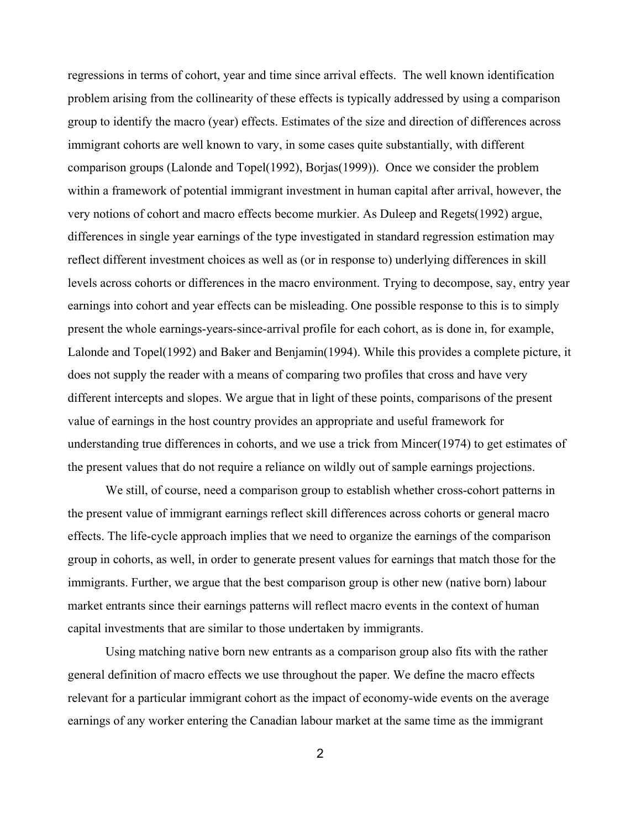regressions in terms of cohort, year and time since arrival effects. The well known identification problem arising from the collinearity of these effects is typically addressed by using a comparison group to identify the macro (year) effects. Estimates of the size and direction of differences across immigrant cohorts are well known to vary, in some cases quite substantially, with different comparison groups (Lalonde and Topel(1992), Borjas(1999)). Once we consider the problem within a framework of potential immigrant investment in human capital after arrival, however, the very notions of cohort and macro effects become murkier. As Duleep and Regets(1992) argue, differences in single year earnings of the type investigated in standard regression estimation may reflect different investment choices as well as (or in response to) underlying differences in skill levels across cohorts or differences in the macro environment. Trying to decompose, say, entry year earnings into cohort and year effects can be misleading. One possible response to this is to simply present the whole earnings-years-since-arrival profile for each cohort, as is done in, for example, Lalonde and Topel(1992) and Baker and Benjamin(1994). While this provides a complete picture, it does not supply the reader with a means of comparing two profiles that cross and have very different intercepts and slopes. We argue that in light of these points, comparisons of the present value of earnings in the host country provides an appropriate and useful framework for understanding true differences in cohorts, and we use a trick from Mincer(1974) to get estimates of the present values that do not require a reliance on wildly out of sample earnings projections.

We still, of course, need a comparison group to establish whether cross-cohort patterns in the present value of immigrant earnings reflect skill differences across cohorts or general macro effects. The life-cycle approach implies that we need to organize the earnings of the comparison group in cohorts, as well, in order to generate present values for earnings that match those for the immigrants. Further, we argue that the best comparison group is other new (native born) labour market entrants since their earnings patterns will reflect macro events in the context of human capital investments that are similar to those undertaken by immigrants.

Using matching native born new entrants as a comparison group also fits with the rather general definition of macro effects we use throughout the paper. We define the macro effects relevant for a particular immigrant cohort as the impact of economy-wide events on the average earnings of any worker entering the Canadian labour market at the same time as the immigrant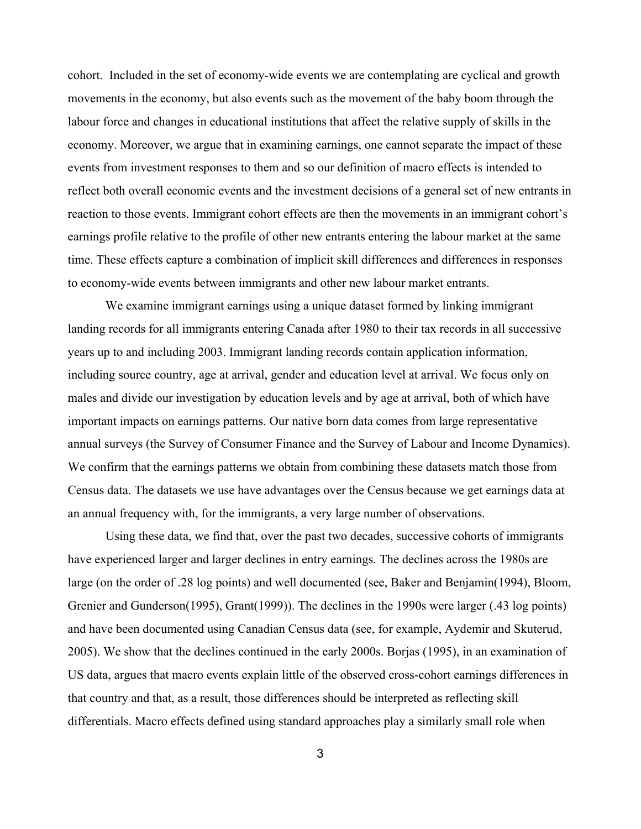cohort. Included in the set of economy-wide events we are contemplating are cyclical and growth movements in the economy, but also events such as the movement of the baby boom through the labour force and changes in educational institutions that affect the relative supply of skills in the economy. Moreover, we argue that in examining earnings, one cannot separate the impact of these events from investment responses to them and so our definition of macro effects is intended to reflect both overall economic events and the investment decisions of a general set of new entrants in reaction to those events. Immigrant cohort effects are then the movements in an immigrant cohort's earnings profile relative to the profile of other new entrants entering the labour market at the same time. These effects capture a combination of implicit skill differences and differences in responses to economy-wide events between immigrants and other new labour market entrants.

We examine immigrant earnings using a unique dataset formed by linking immigrant landing records for all immigrants entering Canada after 1980 to their tax records in all successive years up to and including 2003. Immigrant landing records contain application information, including source country, age at arrival, gender and education level at arrival. We focus only on males and divide our investigation by education levels and by age at arrival, both of which have important impacts on earnings patterns. Our native born data comes from large representative annual surveys (the Survey of Consumer Finance and the Survey of Labour and Income Dynamics). We confirm that the earnings patterns we obtain from combining these datasets match those from Census data. The datasets we use have advantages over the Census because we get earnings data at an annual frequency with, for the immigrants, a very large number of observations.

Using these data, we find that, over the past two decades, successive cohorts of immigrants have experienced larger and larger declines in entry earnings. The declines across the 1980s are large (on the order of .28 log points) and well documented (see, Baker and Benjamin(1994), Bloom, Grenier and Gunderson(1995), Grant(1999)). The declines in the 1990s were larger (.43 log points) and have been documented using Canadian Census data (see, for example, Aydemir and Skuterud, 2005). We show that the declines continued in the early 2000s. Borjas (1995), in an examination of US data, argues that macro events explain little of the observed cross-cohort earnings differences in that country and that, as a result, those differences should be interpreted as reflecting skill differentials. Macro effects defined using standard approaches play a similarly small role when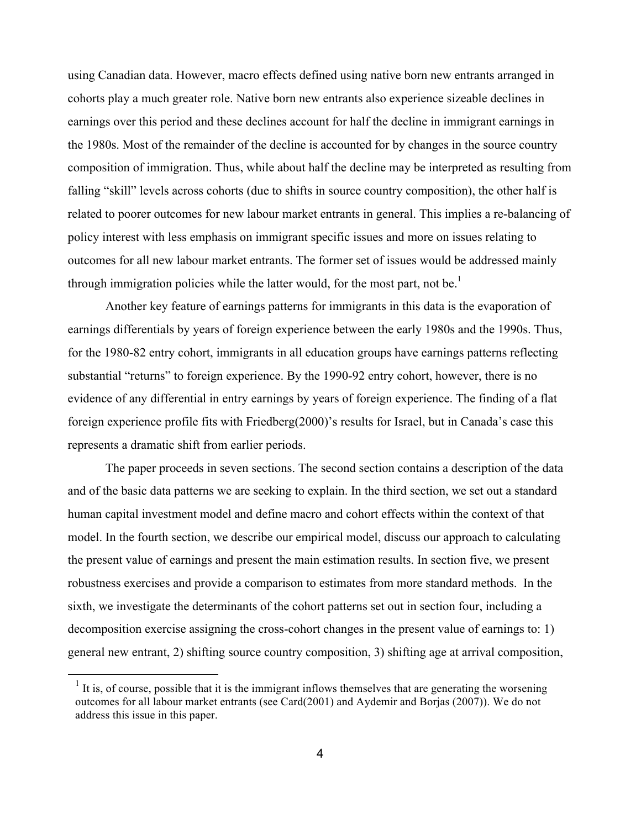using Canadian data. However, macro effects defined using native born new entrants arranged in cohorts play a much greater role. Native born new entrants also experience sizeable declines in earnings over this period and these declines account for half the decline in immigrant earnings in the 1980s. Most of the remainder of the decline is accounted for by changes in the source country composition of immigration. Thus, while about half the decline may be interpreted as resulting from falling "skill" levels across cohorts (due to shifts in source country composition), the other half is related to poorer outcomes for new labour market entrants in general. This implies a re-balancing of policy interest with less emphasis on immigrant specific issues and more on issues relating to outcomes for all new labour market entrants. The former set of issues would be addressed mainly through immigration policies while the latter would, for the most part, not be.<sup>1</sup>

Another key feature of earnings patterns for immigrants in this data is the evaporation of earnings differentials by years of foreign experience between the early 1980s and the 1990s. Thus, for the 1980-82 entry cohort, immigrants in all education groups have earnings patterns reflecting substantial "returns" to foreign experience. By the 1990-92 entry cohort, however, there is no evidence of any differential in entry earnings by years of foreign experience. The finding of a flat foreign experience profile fits with Friedberg(2000)'s results for Israel, but in Canada's case this represents a dramatic shift from earlier periods.

The paper proceeds in seven sections. The second section contains a description of the data and of the basic data patterns we are seeking to explain. In the third section, we set out a standard human capital investment model and define macro and cohort effects within the context of that model. In the fourth section, we describe our empirical model, discuss our approach to calculating the present value of earnings and present the main estimation results. In section five, we present robustness exercises and provide a comparison to estimates from more standard methods. In the sixth, we investigate the determinants of the cohort patterns set out in section four, including a decomposition exercise assigning the cross-cohort changes in the present value of earnings to: 1) general new entrant, 2) shifting source country composition, 3) shifting age at arrival composition,

 $<sup>1</sup>$  It is, of course, possible that it is the immigrant inflows themselves that are generating the worsening</sup> outcomes for all labour market entrants (see Card(2001) and Aydemir and Borjas (2007)). We do not address this issue in this paper.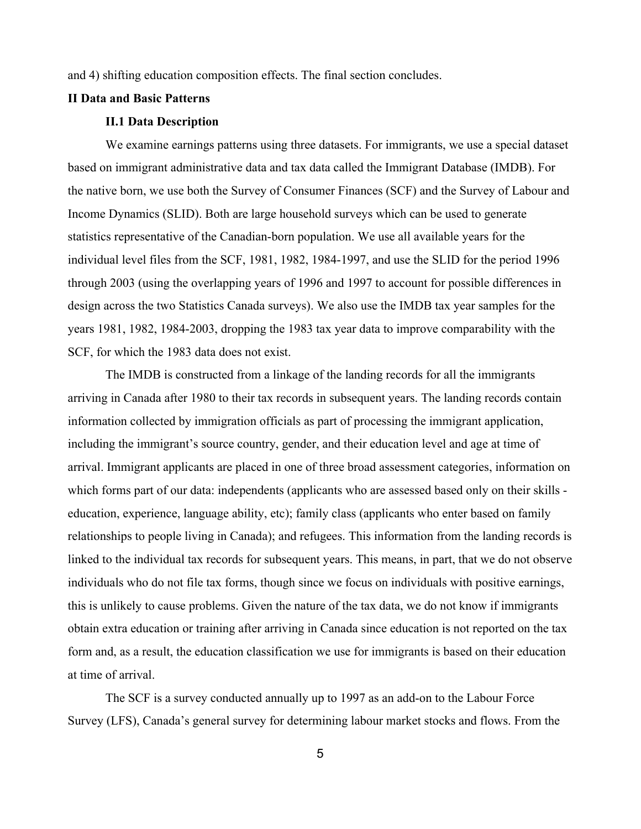and 4) shifting education composition effects. The final section concludes.

### **II Data and Basic Patterns**

#### **II.1 Data Description**

We examine earnings patterns using three datasets. For immigrants, we use a special dataset based on immigrant administrative data and tax data called the Immigrant Database (IMDB). For the native born, we use both the Survey of Consumer Finances (SCF) and the Survey of Labour and Income Dynamics (SLID). Both are large household surveys which can be used to generate statistics representative of the Canadian-born population. We use all available years for the individual level files from the SCF, 1981, 1982, 1984-1997, and use the SLID for the period 1996 through 2003 (using the overlapping years of 1996 and 1997 to account for possible differences in design across the two Statistics Canada surveys). We also use the IMDB tax year samples for the years 1981, 1982, 1984-2003, dropping the 1983 tax year data to improve comparability with the SCF, for which the 1983 data does not exist.

The IMDB is constructed from a linkage of the landing records for all the immigrants arriving in Canada after 1980 to their tax records in subsequent years. The landing records contain information collected by immigration officials as part of processing the immigrant application, including the immigrant's source country, gender, and their education level and age at time of arrival. Immigrant applicants are placed in one of three broad assessment categories, information on which forms part of our data: independents (applicants who are assessed based only on their skills education, experience, language ability, etc); family class (applicants who enter based on family relationships to people living in Canada); and refugees. This information from the landing records is linked to the individual tax records for subsequent years. This means, in part, that we do not observe individuals who do not file tax forms, though since we focus on individuals with positive earnings, this is unlikely to cause problems. Given the nature of the tax data, we do not know if immigrants obtain extra education or training after arriving in Canada since education is not reported on the tax form and, as a result, the education classification we use for immigrants is based on their education at time of arrival.

The SCF is a survey conducted annually up to 1997 as an add-on to the Labour Force Survey (LFS), Canada's general survey for determining labour market stocks and flows. From the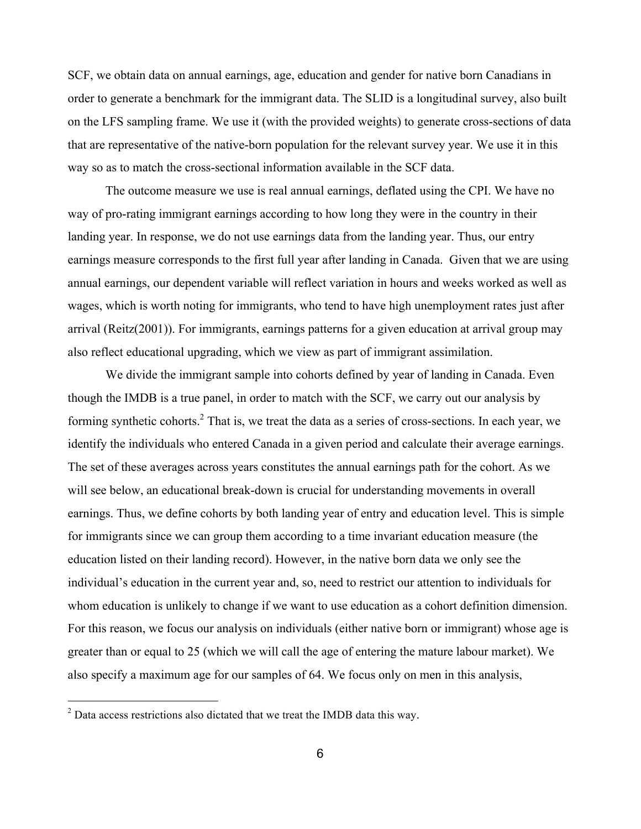SCF, we obtain data on annual earnings, age, education and gender for native born Canadians in order to generate a benchmark for the immigrant data. The SLID is a longitudinal survey, also built on the LFS sampling frame. We use it (with the provided weights) to generate cross-sections of data that are representative of the native-born population for the relevant survey year. We use it in this way so as to match the cross-sectional information available in the SCF data.

The outcome measure we use is real annual earnings, deflated using the CPI. We have no way of pro-rating immigrant earnings according to how long they were in the country in their landing year. In response, we do not use earnings data from the landing year. Thus, our entry earnings measure corresponds to the first full year after landing in Canada. Given that we are using annual earnings, our dependent variable will reflect variation in hours and weeks worked as well as wages, which is worth noting for immigrants, who tend to have high unemployment rates just after arrival (Reitz(2001)). For immigrants, earnings patterns for a given education at arrival group may also reflect educational upgrading, which we view as part of immigrant assimilation.

We divide the immigrant sample into cohorts defined by year of landing in Canada. Even though the IMDB is a true panel, in order to match with the SCF, we carry out our analysis by forming synthetic cohorts.<sup>2</sup> That is, we treat the data as a series of cross-sections. In each year, we identify the individuals who entered Canada in a given period and calculate their average earnings. The set of these averages across years constitutes the annual earnings path for the cohort. As we will see below, an educational break-down is crucial for understanding movements in overall earnings. Thus, we define cohorts by both landing year of entry and education level. This is simple for immigrants since we can group them according to a time invariant education measure (the education listed on their landing record). However, in the native born data we only see the individual's education in the current year and, so, need to restrict our attention to individuals for whom education is unlikely to change if we want to use education as a cohort definition dimension. For this reason, we focus our analysis on individuals (either native born or immigrant) whose age is greater than or equal to 25 (which we will call the age of entering the mature labour market). We also specify a maximum age for our samples of 64. We focus only on men in this analysis,

<sup>&</sup>lt;sup>2</sup> Data access restrictions also dictated that we treat the IMDB data this way.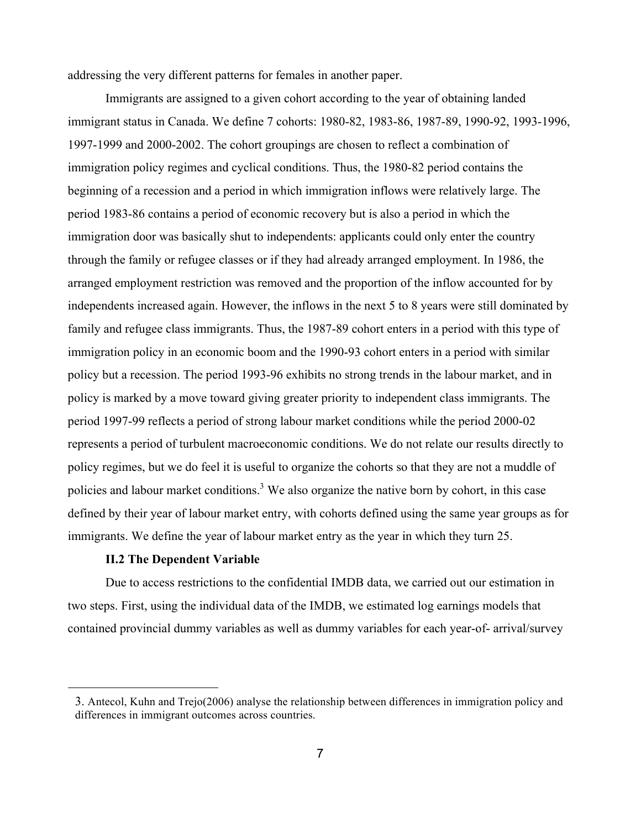addressing the very different patterns for females in another paper.

Immigrants are assigned to a given cohort according to the year of obtaining landed immigrant status in Canada. We define 7 cohorts: 1980-82, 1983-86, 1987-89, 1990-92, 1993-1996, 1997-1999 and 2000-2002. The cohort groupings are chosen to reflect a combination of immigration policy regimes and cyclical conditions. Thus, the 1980-82 period contains the beginning of a recession and a period in which immigration inflows were relatively large. The period 1983-86 contains a period of economic recovery but is also a period in which the immigration door was basically shut to independents: applicants could only enter the country through the family or refugee classes or if they had already arranged employment. In 1986, the arranged employment restriction was removed and the proportion of the inflow accounted for by independents increased again. However, the inflows in the next 5 to 8 years were still dominated by family and refugee class immigrants. Thus, the 1987-89 cohort enters in a period with this type of immigration policy in an economic boom and the 1990-93 cohort enters in a period with similar policy but a recession. The period 1993-96 exhibits no strong trends in the labour market, and in policy is marked by a move toward giving greater priority to independent class immigrants. The period 1997-99 reflects a period of strong labour market conditions while the period 2000-02 represents a period of turbulent macroeconomic conditions. We do not relate our results directly to policy regimes, but we do feel it is useful to organize the cohorts so that they are not a muddle of policies and labour market conditions.<sup>3</sup> We also organize the native born by cohort, in this case defined by their year of labour market entry, with cohorts defined using the same year groups as for immigrants. We define the year of labour market entry as the year in which they turn 25.

# **II.2 The Dependent Variable**

 $\overline{a}$ 

Due to access restrictions to the confidential IMDB data, we carried out our estimation in two steps. First, using the individual data of the IMDB, we estimated log earnings models that contained provincial dummy variables as well as dummy variables for each year-of- arrival/survey

<sup>3.</sup> Antecol, Kuhn and Trejo(2006) analyse the relationship between differences in immigration policy and differences in immigrant outcomes across countries.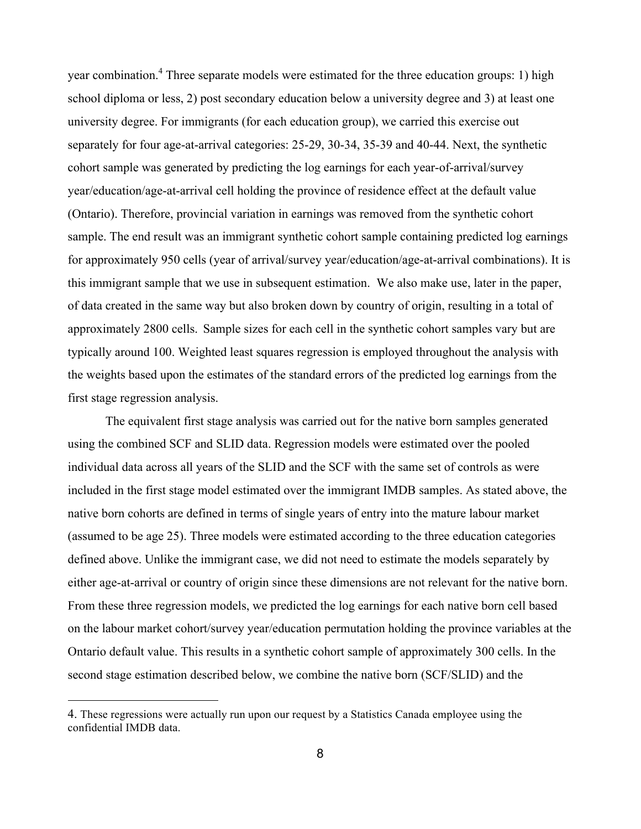year combination.<sup>4</sup> Three separate models were estimated for the three education groups: 1) high school diploma or less, 2) post secondary education below a university degree and 3) at least one university degree. For immigrants (for each education group), we carried this exercise out separately for four age-at-arrival categories: 25-29, 30-34, 35-39 and 40-44. Next, the synthetic cohort sample was generated by predicting the log earnings for each year-of-arrival/survey year/education/age-at-arrival cell holding the province of residence effect at the default value (Ontario). Therefore, provincial variation in earnings was removed from the synthetic cohort sample. The end result was an immigrant synthetic cohort sample containing predicted log earnings for approximately 950 cells (year of arrival/survey year/education/age-at-arrival combinations). It is this immigrant sample that we use in subsequent estimation. We also make use, later in the paper, of data created in the same way but also broken down by country of origin, resulting in a total of approximately 2800 cells. Sample sizes for each cell in the synthetic cohort samples vary but are typically around 100. Weighted least squares regression is employed throughout the analysis with the weights based upon the estimates of the standard errors of the predicted log earnings from the first stage regression analysis.

The equivalent first stage analysis was carried out for the native born samples generated using the combined SCF and SLID data. Regression models were estimated over the pooled individual data across all years of the SLID and the SCF with the same set of controls as were included in the first stage model estimated over the immigrant IMDB samples. As stated above, the native born cohorts are defined in terms of single years of entry into the mature labour market (assumed to be age 25). Three models were estimated according to the three education categories defined above. Unlike the immigrant case, we did not need to estimate the models separately by either age-at-arrival or country of origin since these dimensions are not relevant for the native born. From these three regression models, we predicted the log earnings for each native born cell based on the labour market cohort/survey year/education permutation holding the province variables at the Ontario default value. This results in a synthetic cohort sample of approximately 300 cells. In the second stage estimation described below, we combine the native born (SCF/SLID) and the

 $\overline{a}$ 

<sup>4.</sup> These regressions were actually run upon our request by a Statistics Canada employee using the confidential IMDB data.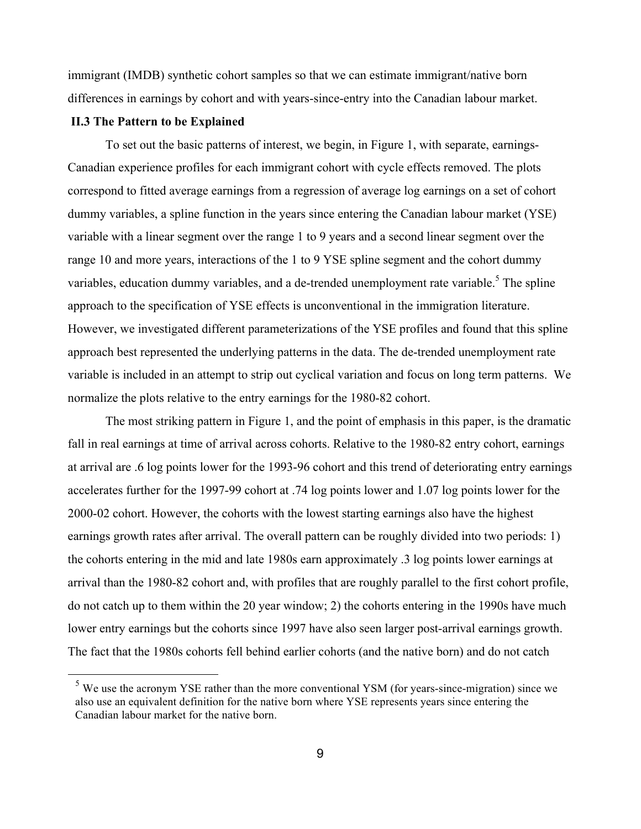immigrant (IMDB) synthetic cohort samples so that we can estimate immigrant/native born differences in earnings by cohort and with years-since-entry into the Canadian labour market.

### **II.3 The Pattern to be Explained**

To set out the basic patterns of interest, we begin, in Figure 1, with separate, earnings-Canadian experience profiles for each immigrant cohort with cycle effects removed. The plots correspond to fitted average earnings from a regression of average log earnings on a set of cohort dummy variables, a spline function in the years since entering the Canadian labour market (YSE) variable with a linear segment over the range 1 to 9 years and a second linear segment over the range 10 and more years, interactions of the 1 to 9 YSE spline segment and the cohort dummy variables, education dummy variables, and a de-trended unemployment rate variable.<sup>5</sup> The spline approach to the specification of YSE effects is unconventional in the immigration literature. However, we investigated different parameterizations of the YSE profiles and found that this spline approach best represented the underlying patterns in the data. The de-trended unemployment rate variable is included in an attempt to strip out cyclical variation and focus on long term patterns. We normalize the plots relative to the entry earnings for the 1980-82 cohort.

The most striking pattern in Figure 1, and the point of emphasis in this paper, is the dramatic fall in real earnings at time of arrival across cohorts. Relative to the 1980-82 entry cohort, earnings at arrival are .6 log points lower for the 1993-96 cohort and this trend of deteriorating entry earnings accelerates further for the 1997-99 cohort at .74 log points lower and 1.07 log points lower for the 2000-02 cohort. However, the cohorts with the lowest starting earnings also have the highest earnings growth rates after arrival. The overall pattern can be roughly divided into two periods: 1) the cohorts entering in the mid and late 1980s earn approximately .3 log points lower earnings at arrival than the 1980-82 cohort and, with profiles that are roughly parallel to the first cohort profile, do not catch up to them within the 20 year window; 2) the cohorts entering in the 1990s have much lower entry earnings but the cohorts since 1997 have also seen larger post-arrival earnings growth. The fact that the 1980s cohorts fell behind earlier cohorts (and the native born) and do not catch

 $<sup>5</sup>$  We use the acronym YSE rather than the more conventional YSM (for years-since-migration) since we</sup> also use an equivalent definition for the native born where YSE represents years since entering the Canadian labour market for the native born.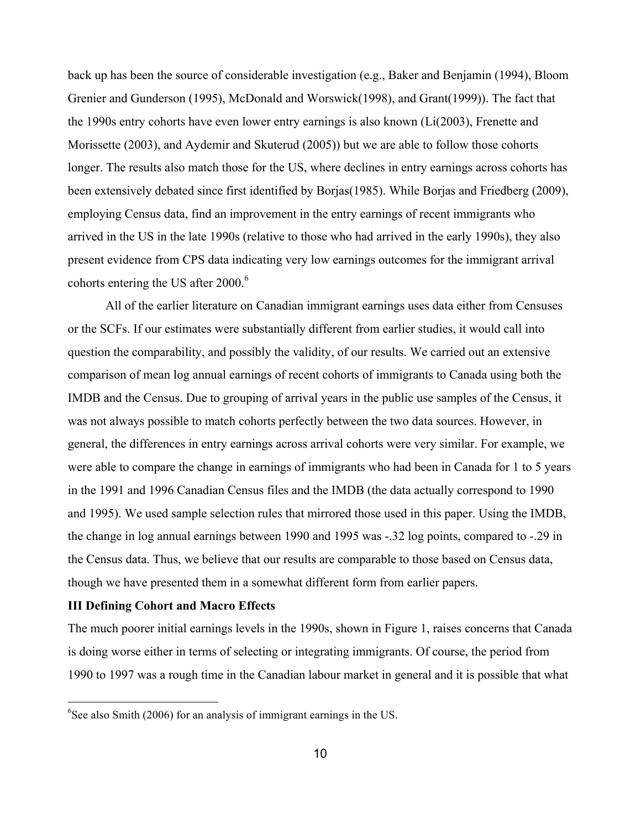back up has been the source of considerable investigation (e.g., Baker and Benjamin (1994), Bloom Grenier and Gunderson (1995), McDonald and Worswick(1998), and Grant(1999)). The fact that the 1990s entry cohorts have even lower entry earnings is also known  $(Li(2003))$ , Frenette and Morissette (2003), and Aydemir and Skuterud (2005)) but we are able to follow those cohorts longer. The results also match those for the US, where declines in entry earnings across cohorts has been extensively debated since first identified by Borjas(1985). While Borjas and Friedberg (2009), employing Census data, find an improvement in the entry earnings of recent immigrants who arrived in the US in the late 1990s (relative to those who had arrived in the early 1990s), they also present evidence from CPS data indicating very low earnings outcomes for the immigrant arrival cohorts entering the US after  $2000<sup>6</sup>$ 

All of the earlier literature on Canadian immigrant earnings uses data either from Censuses or the SCFs. If our estimates were substantially different from earlier studies, it would call into question the comparability, and possibly the validity, of our results. We carried out an extensive comparison of mean log annual earnings of recent cohorts of immigrants to Canada using both the IMDB and the Census. Due to grouping of arrival years in the public use samples of the Census, it was not always possible to match cohorts perfectly between the two data sources. However, in general, the differences in entry earnings across arrival cohorts were very similar. For example, we were able to compare the change in earnings of immigrants who had been in Canada for 1 to 5 years in the 1991 and 1996 Canadian Census files and the IMDB (the data actually correspond to 1990 and 1995). We used sample selection rules that mirrored those used in this paper. Using the IMDB, the change in log annual earnings between 1990 and 1995 was -.32 log points, compared to -.29 in the Census data. Thus, we believe that our results are comparable to those based on Census data, though we have presented them in a somewhat different form from earlier papers.

## **III Defining Cohort and Macro Effects**

The much poorer initial earnings levels in the 1990s, shown in Figure 1, raises concerns that Canada is doing worse either in terms of selecting or integrating immigrants. Of course, the period from 1990 to 1997 was a rough time in the Canadian labour market in general and it is possible that what

 <sup>6</sup>  $6$ See also Smith (2006) for an analysis of immigrant earnings in the US.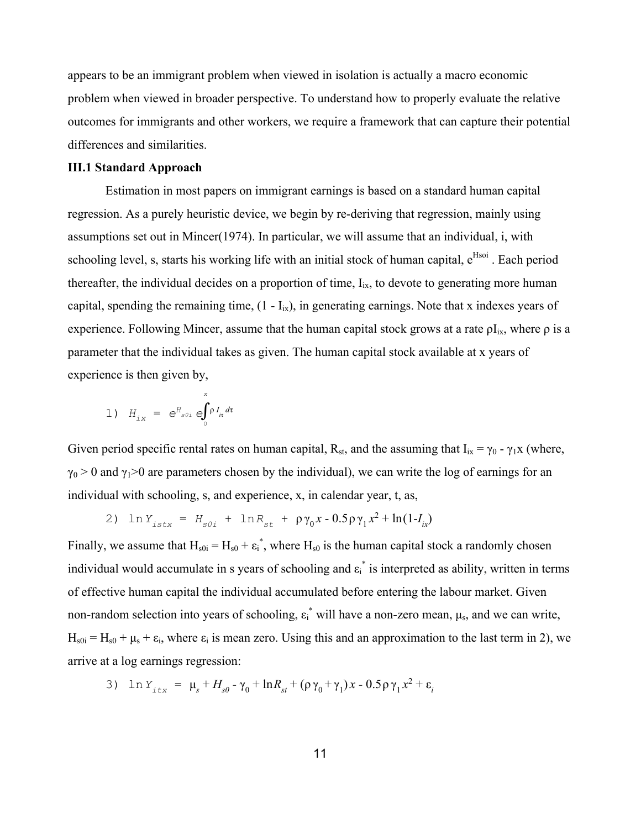appears to be an immigrant problem when viewed in isolation is actually a macro economic problem when viewed in broader perspective. To understand how to properly evaluate the relative outcomes for immigrants and other workers, we require a framework that can capture their potential differences and similarities.

# **III.1 Standard Approach**

Estimation in most papers on immigrant earnings is based on a standard human capital regression. As a purely heuristic device, we begin by re-deriving that regression, mainly using assumptions set out in Mincer(1974). In particular, we will assume that an individual, i, with schooling level, s, starts his working life with an initial stock of human capital,  $e^{Hsoi}$ . Each period thereafter, the individual decides on a proportion of time,  $I_{ix}$ , to devote to generating more human capital, spending the remaining time,  $(1 - I_{ix})$ , in generating earnings. Note that x indexes years of experience. Following Mincer, assume that the human capital stock grows at a rate ρI<sub>ix</sub>, where ρ is a parameter that the individual takes as given. The human capital stock available at x years of experience is then given by,

1) 
$$
H_{ix} = e^{H_{s0i}} e^{\int_{0}^{x} \rho I_{it} d\tau}
$$

Given period specific rental rates on human capital, R<sub>st</sub>, and the assuming that  $I_{ix} = \gamma_0 - \gamma_1 x$  (where,  $\gamma_0$  > 0 and  $\gamma_1$  > 0 are parameters chosen by the individual), we can write the log of earnings for an individual with schooling, s, and experience, x, in calendar year, t, as,

2) 
$$
\ln Y_{i_{\text{S}}t_{\text{x}}} = H_{s0i} + \ln R_{st} + \rho \gamma_0 x - 0.5 \rho \gamma_1 x^2 + \ln(1 - I_{ix})
$$

Finally, we assume that  $H_{s0i} = H_{s0} + \varepsilon_i^*$ , where  $H_{s0}$  is the human capital stock a randomly chosen individual would accumulate in s years of schooling and  $\varepsilon_i^*$  is interpreted as ability, written in terms of effective human capital the individual accumulated before entering the labour market. Given non-random selection into years of schooling,  $\varepsilon_i^*$  will have a non-zero mean,  $\mu_s$ , and we can write,  $H_{s0i} = H_{s0} + \mu_s + \varepsilon_i$ , where  $\varepsilon_i$  is mean zero. Using this and an approximation to the last term in 2), we arrive at a log earnings regression:

3) 
$$
\ln Y_{itx} = \mu_s + H_{s0} - \gamma_0 + \ln R_{st} + (\rho \gamma_0 + \gamma_1)x - 0.5 \rho \gamma_1 x^2 + \varepsilon_i
$$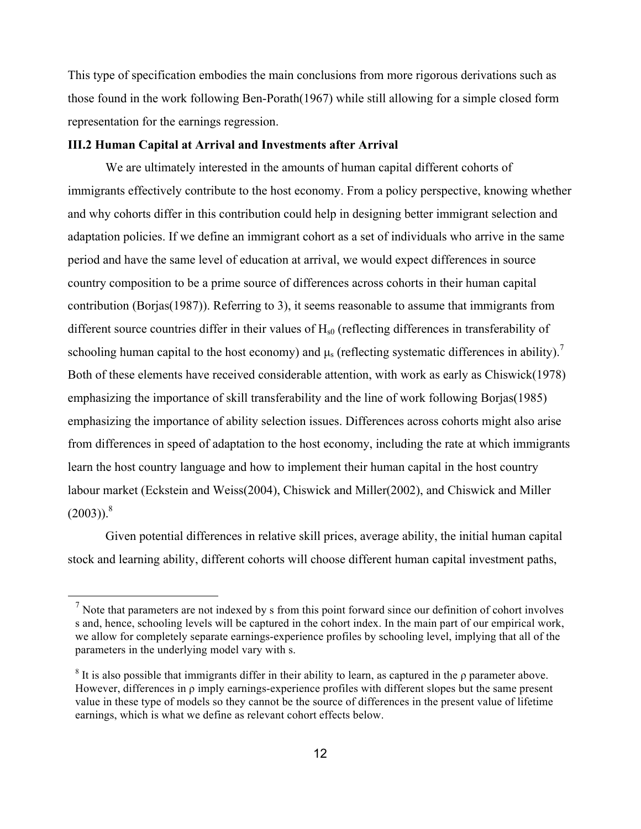This type of specification embodies the main conclusions from more rigorous derivations such as those found in the work following Ben-Porath(1967) while still allowing for a simple closed form representation for the earnings regression.

#### **III.2 Human Capital at Arrival and Investments after Arrival**

We are ultimately interested in the amounts of human capital different cohorts of immigrants effectively contribute to the host economy. From a policy perspective, knowing whether and why cohorts differ in this contribution could help in designing better immigrant selection and adaptation policies. If we define an immigrant cohort as a set of individuals who arrive in the same period and have the same level of education at arrival, we would expect differences in source country composition to be a prime source of differences across cohorts in their human capital contribution (Borjas(1987)). Referring to 3), it seems reasonable to assume that immigrants from different source countries differ in their values of  $H<sub>s0</sub>$  (reflecting differences in transferability of schooling human capital to the host economy) and  $\mu_s$  (reflecting systematic differences in ability).<sup>7</sup> Both of these elements have received considerable attention, with work as early as Chiswick(1978) emphasizing the importance of skill transferability and the line of work following Borjas(1985) emphasizing the importance of ability selection issues. Differences across cohorts might also arise from differences in speed of adaptation to the host economy, including the rate at which immigrants learn the host country language and how to implement their human capital in the host country labour market (Eckstein and Weiss(2004), Chiswick and Miller(2002), and Chiswick and Miller  $(2003))$ .<sup>8</sup>

Given potential differences in relative skill prices, average ability, the initial human capital stock and learning ability, different cohorts will choose different human capital investment paths,

 $<sup>7</sup>$  Note that parameters are not indexed by s from this point forward since our definition of cohort involves</sup> s and, hence, schooling levels will be captured in the cohort index. In the main part of our empirical work, we allow for completely separate earnings-experience profiles by schooling level, implying that all of the parameters in the underlying model vary with s.

<sup>8</sup> It is also possible that immigrants differ in their ability to learn, as captured in the ρ parameter above. However, differences in ρ imply earnings-experience profiles with different slopes but the same present value in these type of models so they cannot be the source of differences in the present value of lifetime earnings, which is what we define as relevant cohort effects below.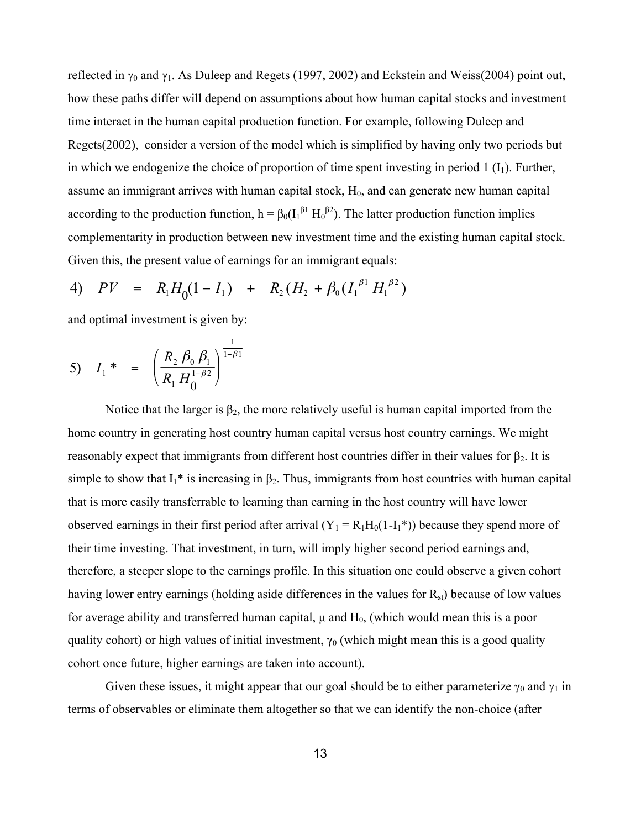reflected in  $\gamma_0$  and  $\gamma_1$ . As Duleep and Regets (1997, 2002) and Eckstein and Weiss(2004) point out, how these paths differ will depend on assumptions about how human capital stocks and investment time interact in the human capital production function. For example, following Duleep and Regets(2002), consider a version of the model which is simplified by having only two periods but in which we endogenize the choice of proportion of time spent investing in period  $1(I_1)$ . Further, assume an immigrant arrives with human capital stock,  $H_0$ , and can generate new human capital according to the production function,  $h = \beta_0 (I_1^{\beta_1} H_0^{\beta_2})$ . The latter production function implies complementarity in production between new investment time and the existing human capital stock. Given this, the present value of earnings for an immigrant equals:

4) 
$$
PV = R_1H_0(1 - I_1) + R_2(H_2 + \beta_0(I_1^{\beta_1} H_1^{\beta_2}))
$$

and optimal investment is given by:

5) 
$$
I_1^* = \left(\frac{R_2 \beta_0 \beta_1}{R_1 H_0^{1-\beta_2}}\right)^{\frac{1}{1-\beta_1}}
$$

Notice that the larger is  $\beta_2$ , the more relatively useful is human capital imported from the home country in generating host country human capital versus host country earnings. We might reasonably expect that immigrants from different host countries differ in their values for  $β_2$ . It is simple to show that  $I_1^*$  is increasing in  $\beta_2$ . Thus, immigrants from host countries with human capital that is more easily transferrable to learning than earning in the host country will have lower observed earnings in their first period after arrival  $(Y_1 = R_1H_0(1-I_1^*))$  because they spend more of their time investing. That investment, in turn, will imply higher second period earnings and, therefore, a steeper slope to the earnings profile. In this situation one could observe a given cohort having lower entry earnings (holding aside differences in the values for  $R_{st}$ ) because of low values for average ability and transferred human capital,  $\mu$  and  $H_0$ , (which would mean this is a poor quality cohort) or high values of initial investment,  $\gamma_0$  (which might mean this is a good quality cohort once future, higher earnings are taken into account).

Given these issues, it might appear that our goal should be to either parameterize  $\gamma_0$  and  $\gamma_1$  in terms of observables or eliminate them altogether so that we can identify the non-choice (after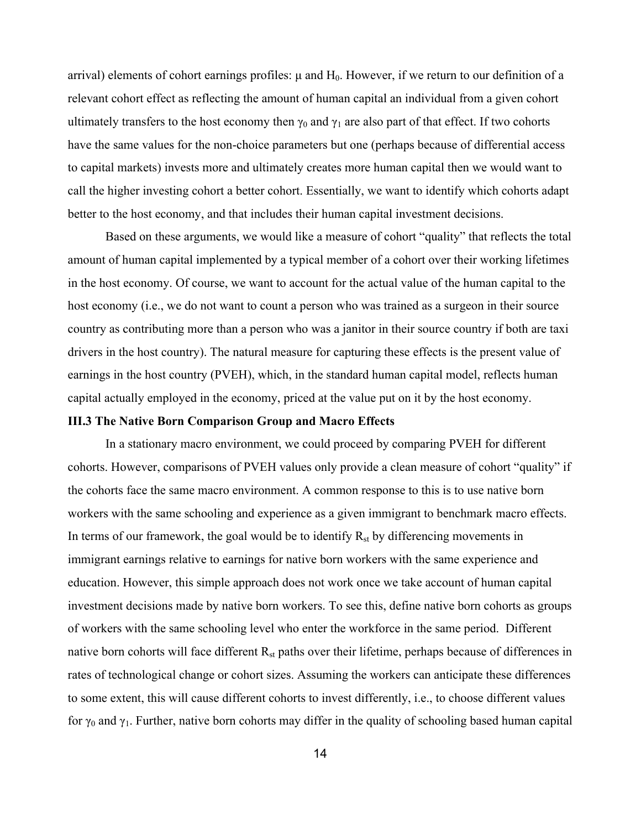arrival) elements of cohort earnings profiles:  $\mu$  and  $H_0$ . However, if we return to our definition of a relevant cohort effect as reflecting the amount of human capital an individual from a given cohort ultimately transfers to the host economy then  $\gamma_0$  and  $\gamma_1$  are also part of that effect. If two cohorts have the same values for the non-choice parameters but one (perhaps because of differential access to capital markets) invests more and ultimately creates more human capital then we would want to call the higher investing cohort a better cohort. Essentially, we want to identify which cohorts adapt better to the host economy, and that includes their human capital investment decisions.

Based on these arguments, we would like a measure of cohort "quality" that reflects the total amount of human capital implemented by a typical member of a cohort over their working lifetimes in the host economy. Of course, we want to account for the actual value of the human capital to the host economy (i.e., we do not want to count a person who was trained as a surgeon in their source country as contributing more than a person who was a janitor in their source country if both are taxi drivers in the host country). The natural measure for capturing these effects is the present value of earnings in the host country (PVEH), which, in the standard human capital model, reflects human capital actually employed in the economy, priced at the value put on it by the host economy.

#### **III.3 The Native Born Comparison Group and Macro Effects**

In a stationary macro environment, we could proceed by comparing PVEH for different cohorts. However, comparisons of PVEH values only provide a clean measure of cohort "quality" if the cohorts face the same macro environment. A common response to this is to use native born workers with the same schooling and experience as a given immigrant to benchmark macro effects. In terms of our framework, the goal would be to identify  $R_{st}$  by differencing movements in immigrant earnings relative to earnings for native born workers with the same experience and education. However, this simple approach does not work once we take account of human capital investment decisions made by native born workers. To see this, define native born cohorts as groups of workers with the same schooling level who enter the workforce in the same period. Different native born cohorts will face different  $R_{st}$  paths over their lifetime, perhaps because of differences in rates of technological change or cohort sizes. Assuming the workers can anticipate these differences to some extent, this will cause different cohorts to invest differently, i.e., to choose different values for  $\gamma_0$  and  $\gamma_1$ . Further, native born cohorts may differ in the quality of schooling based human capital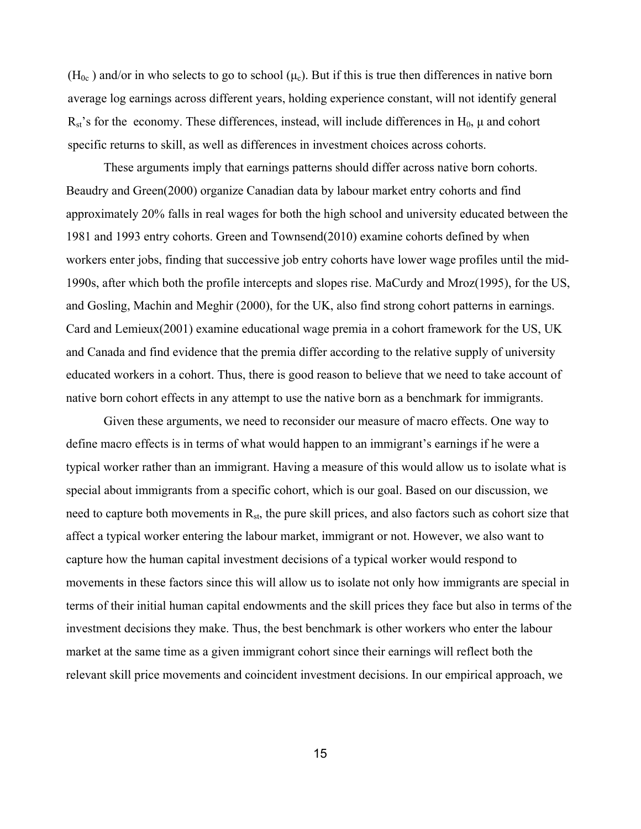$(H_{0c})$  and/or in who selects to go to school  $(\mu_c)$ . But if this is true then differences in native born average log earnings across different years, holding experience constant, will not identify general  $R_{st}$ 's for the economy. These differences, instead, will include differences in  $H_0$ ,  $\mu$  and cohort specific returns to skill, as well as differences in investment choices across cohorts.

These arguments imply that earnings patterns should differ across native born cohorts. Beaudry and Green(2000) organize Canadian data by labour market entry cohorts and find approximately 20% falls in real wages for both the high school and university educated between the 1981 and 1993 entry cohorts. Green and Townsend(2010) examine cohorts defined by when workers enter jobs, finding that successive job entry cohorts have lower wage profiles until the mid-1990s, after which both the profile intercepts and slopes rise. MaCurdy and Mroz(1995), for the US, and Gosling, Machin and Meghir (2000), for the UK, also find strong cohort patterns in earnings. Card and Lemieux(2001) examine educational wage premia in a cohort framework for the US, UK and Canada and find evidence that the premia differ according to the relative supply of university educated workers in a cohort. Thus, there is good reason to believe that we need to take account of native born cohort effects in any attempt to use the native born as a benchmark for immigrants.

Given these arguments, we need to reconsider our measure of macro effects. One way to define macro effects is in terms of what would happen to an immigrant's earnings if he were a typical worker rather than an immigrant. Having a measure of this would allow us to isolate what is special about immigrants from a specific cohort, which is our goal. Based on our discussion, we need to capture both movements in  $R_{st}$ , the pure skill prices, and also factors such as cohort size that affect a typical worker entering the labour market, immigrant or not. However, we also want to capture how the human capital investment decisions of a typical worker would respond to movements in these factors since this will allow us to isolate not only how immigrants are special in terms of their initial human capital endowments and the skill prices they face but also in terms of the investment decisions they make. Thus, the best benchmark is other workers who enter the labour market at the same time as a given immigrant cohort since their earnings will reflect both the relevant skill price movements and coincident investment decisions. In our empirical approach, we

15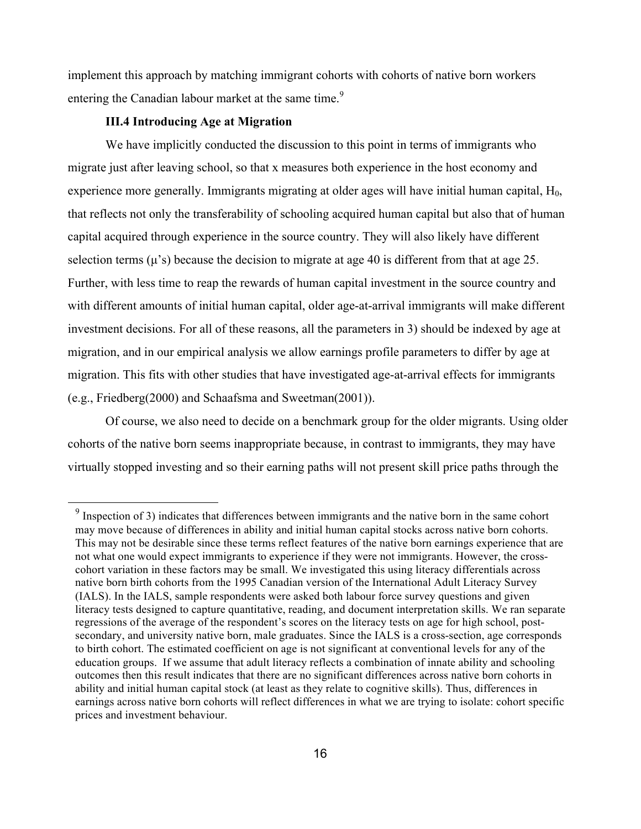implement this approach by matching immigrant cohorts with cohorts of native born workers entering the Canadian labour market at the same time.<sup>9</sup>

#### **III.4 Introducing Age at Migration**

We have implicitly conducted the discussion to this point in terms of immigrants who migrate just after leaving school, so that x measures both experience in the host economy and experience more generally. Immigrants migrating at older ages will have initial human capital,  $H_0$ , that reflects not only the transferability of schooling acquired human capital but also that of human capital acquired through experience in the source country. They will also likely have different selection terms  $(\mu's)$  because the decision to migrate at age 40 is different from that at age 25. Further, with less time to reap the rewards of human capital investment in the source country and with different amounts of initial human capital, older age-at-arrival immigrants will make different investment decisions. For all of these reasons, all the parameters in 3) should be indexed by age at migration, and in our empirical analysis we allow earnings profile parameters to differ by age at migration. This fits with other studies that have investigated age-at-arrival effects for immigrants (e.g., Friedberg(2000) and Schaafsma and Sweetman(2001)).

Of course, we also need to decide on a benchmark group for the older migrants. Using older cohorts of the native born seems inappropriate because, in contrast to immigrants, they may have virtually stopped investing and so their earning paths will not present skill price paths through the

 <sup>9</sup> Inspection of 3) indicates that differences between immigrants and the native born in the same cohort may move because of differences in ability and initial human capital stocks across native born cohorts. This may not be desirable since these terms reflect features of the native born earnings experience that are not what one would expect immigrants to experience if they were not immigrants. However, the crosscohort variation in these factors may be small. We investigated this using literacy differentials across native born birth cohorts from the 1995 Canadian version of the International Adult Literacy Survey (IALS). In the IALS, sample respondents were asked both labour force survey questions and given literacy tests designed to capture quantitative, reading, and document interpretation skills. We ran separate regressions of the average of the respondent's scores on the literacy tests on age for high school, postsecondary, and university native born, male graduates. Since the IALS is a cross-section, age corresponds to birth cohort. The estimated coefficient on age is not significant at conventional levels for any of the education groups. If we assume that adult literacy reflects a combination of innate ability and schooling outcomes then this result indicates that there are no significant differences across native born cohorts in ability and initial human capital stock (at least as they relate to cognitive skills). Thus, differences in earnings across native born cohorts will reflect differences in what we are trying to isolate: cohort specific prices and investment behaviour.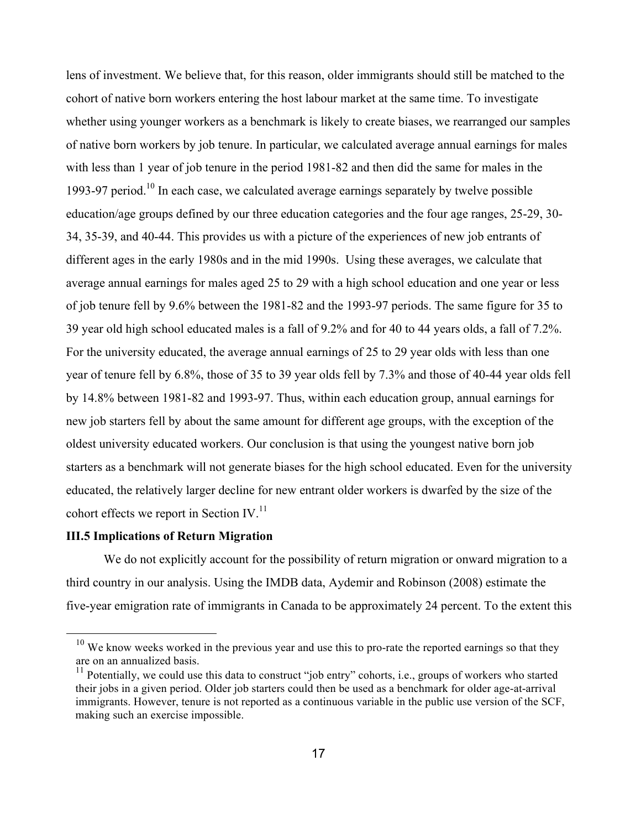lens of investment. We believe that, for this reason, older immigrants should still be matched to the cohort of native born workers entering the host labour market at the same time. To investigate whether using younger workers as a benchmark is likely to create biases, we rearranged our samples of native born workers by job tenure. In particular, we calculated average annual earnings for males with less than 1 year of job tenure in the period 1981-82 and then did the same for males in the 1993-97 period.<sup>10</sup> In each case, we calculated average earnings separately by twelve possible education/age groups defined by our three education categories and the four age ranges, 25-29, 30- 34, 35-39, and 40-44. This provides us with a picture of the experiences of new job entrants of different ages in the early 1980s and in the mid 1990s. Using these averages, we calculate that average annual earnings for males aged 25 to 29 with a high school education and one year or less of job tenure fell by 9.6% between the 1981-82 and the 1993-97 periods. The same figure for 35 to 39 year old high school educated males is a fall of 9.2% and for 40 to 44 years olds, a fall of 7.2%. For the university educated, the average annual earnings of 25 to 29 year olds with less than one year of tenure fell by 6.8%, those of 35 to 39 year olds fell by 7.3% and those of 40-44 year olds fell by 14.8% between 1981-82 and 1993-97. Thus, within each education group, annual earnings for new job starters fell by about the same amount for different age groups, with the exception of the oldest university educated workers. Our conclusion is that using the youngest native born job starters as a benchmark will not generate biases for the high school educated. Even for the university educated, the relatively larger decline for new entrant older workers is dwarfed by the size of the cohort effects we report in Section IV. $^{11}$ 

#### **III.5 Implications of Return Migration**

We do not explicitly account for the possibility of return migration or onward migration to a third country in our analysis. Using the IMDB data, Aydemir and Robinson (2008) estimate the five-year emigration rate of immigrants in Canada to be approximately 24 percent. To the extent this

 $10$  We know weeks worked in the previous year and use this to pro-rate the reported earnings so that they are on an annualized basis.

<sup>&</sup>lt;sup>11</sup> Potentially, we could use this data to construct "job entry" cohorts, i.e., groups of workers who started their jobs in a given period. Older job starters could then be used as a benchmark for older age-at-arrival immigrants. However, tenure is not reported as a continuous variable in the public use version of the SCF, making such an exercise impossible.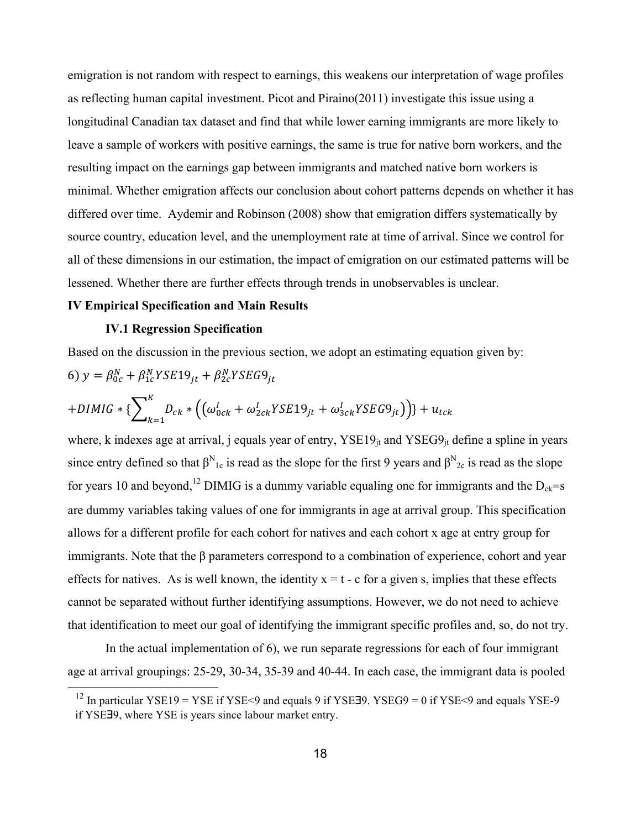emigration is not random with respect to earnings, this weakens our interpretation of wage profiles as reflecting human capital investment. Picot and Piraino(2011) investigate this issue using a longitudinal Canadian tax dataset and find that while lower earning immigrants are more likely to leave a sample of workers with positive earnings, the same is true for native born workers, and the resulting impact on the earnings gap between immigrants and matched native born workers is minimal. Whether emigration affects our conclusion about cohort patterns depends on whether it has differed over time. Aydemir and Robinson (2008) show that emigration differs systematically by source country, education level, and the unemployment rate at time of arrival. Since we control for all of these dimensions in our estimation, the impact of emigration on our estimated patterns will be lessened. Whether there are further effects through trends in unobservables is unclear.

### **IV Empirical Specification and Main Results**

### **IV.1 Regression Specification**

Based on the discussion in the previous section, we adopt an estimating equation given by:

6) 
$$
y = \beta_{0c}^{N} + \beta_{1c}^{N} YSE19_{jt} + \beta_{2c}^{N} YSEG9_{jt}
$$
  
+*DIMIG* \* { $\sum_{k=1}^{K} D_{ck}$  \*  $((\omega_{0ck}^{l} + \omega_{2ck}^{l} YSE19_{jt} + \omega_{3ck}^{l} YSEG9_{jt}))$ } +  $u_{tck}$ 

where, k indexes age at arrival, j equals year of entry, YSE19<sub>it</sub> and YSEG9<sub>it</sub> define a spline in years since entry defined so that  $\beta_{1c}^{N}$  is read as the slope for the first 9 years and  $\beta_{2c}^{N}$  is read as the slope for years 10 and beyond,<sup>12</sup> DIMIG is a dummy variable equaling one for immigrants and the  $D_{ck}=s$ are dummy variables taking values of one for immigrants in age at arrival group. This specification allows for a different profile for each cohort for natives and each cohort x age at entry group for immigrants. Note that the β parameters correspond to a combination of experience, cohort and year effects for natives. As is well known, the identity  $x = t - c$  for a given s, implies that these effects cannot be separated without further identifying assumptions. However, we do not need to achieve that identification to meet our goal of identifying the immigrant specific profiles and, so, do not try.

In the actual implementation of 6), we run separate regressions for each of four immigrant age at arrival groupings: 25-29, 30-34, 35-39 and 40-44. In each case, the immigrant data is pooled

<sup>&</sup>lt;sup>12</sup> In particular YSE19 = YSE if YSE<9 and equals 9 if YSE $\exists$ 9. YSEG9 = 0 if YSE<9 and equals YSE-9 if YSE∃9, where YSE is years since labour market entry.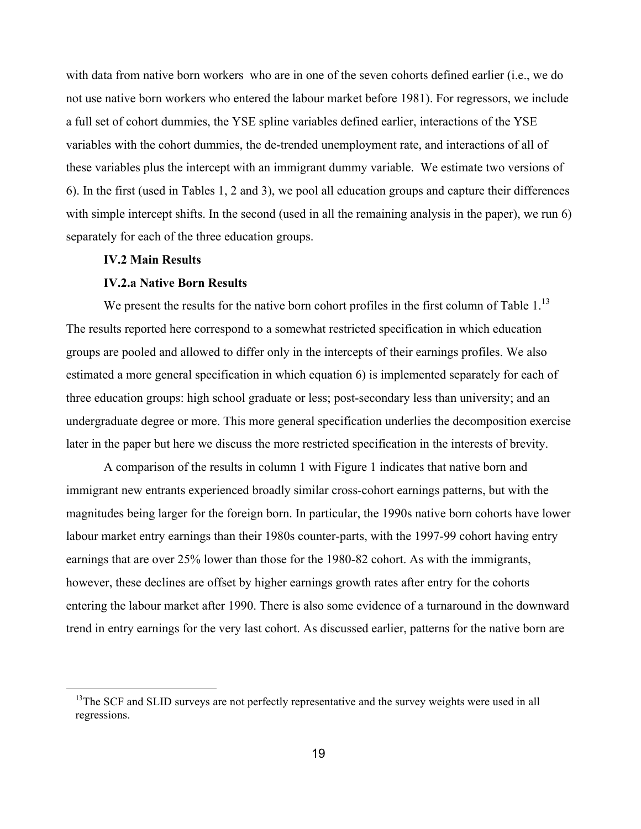with data from native born workers who are in one of the seven cohorts defined earlier (i.e., we do not use native born workers who entered the labour market before 1981). For regressors, we include a full set of cohort dummies, the YSE spline variables defined earlier, interactions of the YSE variables with the cohort dummies, the de-trended unemployment rate, and interactions of all of these variables plus the intercept with an immigrant dummy variable. We estimate two versions of 6). In the first (used in Tables 1, 2 and 3), we pool all education groups and capture their differences with simple intercept shifts. In the second (used in all the remaining analysis in the paper), we run 6) separately for each of the three education groups.

# **IV.2 Main Results**

#### **IV.2.a Native Born Results**

We present the results for the native born cohort profiles in the first column of Table  $1<sup>13</sup>$ The results reported here correspond to a somewhat restricted specification in which education groups are pooled and allowed to differ only in the intercepts of their earnings profiles. We also estimated a more general specification in which equation 6) is implemented separately for each of three education groups: high school graduate or less; post-secondary less than university; and an undergraduate degree or more. This more general specification underlies the decomposition exercise later in the paper but here we discuss the more restricted specification in the interests of brevity.

A comparison of the results in column 1 with Figure 1 indicates that native born and immigrant new entrants experienced broadly similar cross-cohort earnings patterns, but with the magnitudes being larger for the foreign born. In particular, the 1990s native born cohorts have lower labour market entry earnings than their 1980s counter-parts, with the 1997-99 cohort having entry earnings that are over 25% lower than those for the 1980-82 cohort. As with the immigrants, however, these declines are offset by higher earnings growth rates after entry for the cohorts entering the labour market after 1990. There is also some evidence of a turnaround in the downward trend in entry earnings for the very last cohort. As discussed earlier, patterns for the native born are

<sup>&</sup>lt;sup>13</sup>The SCF and SLID surveys are not perfectly representative and the survey weights were used in all regressions.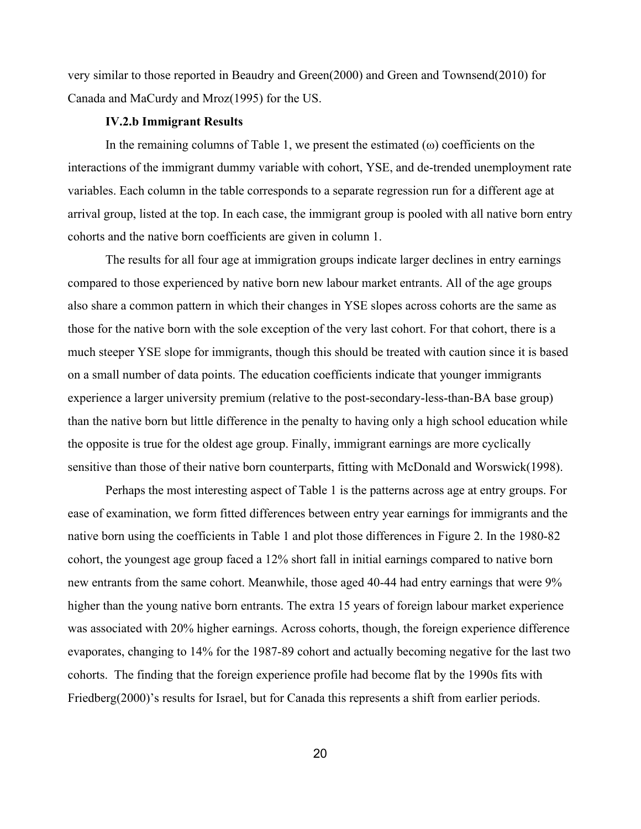very similar to those reported in Beaudry and Green(2000) and Green and Townsend(2010) for Canada and MaCurdy and Mroz(1995) for the US.

#### **IV.2.b Immigrant Results**

In the remaining columns of Table 1, we present the estimated  $(\omega)$  coefficients on the interactions of the immigrant dummy variable with cohort, YSE, and de-trended unemployment rate variables. Each column in the table corresponds to a separate regression run for a different age at arrival group, listed at the top. In each case, the immigrant group is pooled with all native born entry cohorts and the native born coefficients are given in column 1.

The results for all four age at immigration groups indicate larger declines in entry earnings compared to those experienced by native born new labour market entrants. All of the age groups also share a common pattern in which their changes in YSE slopes across cohorts are the same as those for the native born with the sole exception of the very last cohort. For that cohort, there is a much steeper YSE slope for immigrants, though this should be treated with caution since it is based on a small number of data points. The education coefficients indicate that younger immigrants experience a larger university premium (relative to the post-secondary-less-than-BA base group) than the native born but little difference in the penalty to having only a high school education while the opposite is true for the oldest age group. Finally, immigrant earnings are more cyclically sensitive than those of their native born counterparts, fitting with McDonald and Worswick(1998).

Perhaps the most interesting aspect of Table 1 is the patterns across age at entry groups. For ease of examination, we form fitted differences between entry year earnings for immigrants and the native born using the coefficients in Table 1 and plot those differences in Figure 2. In the 1980-82 cohort, the youngest age group faced a 12% short fall in initial earnings compared to native born new entrants from the same cohort. Meanwhile, those aged 40-44 had entry earnings that were 9% higher than the young native born entrants. The extra 15 years of foreign labour market experience was associated with 20% higher earnings. Across cohorts, though, the foreign experience difference evaporates, changing to 14% for the 1987-89 cohort and actually becoming negative for the last two cohorts. The finding that the foreign experience profile had become flat by the 1990s fits with Friedberg(2000)'s results for Israel, but for Canada this represents a shift from earlier periods.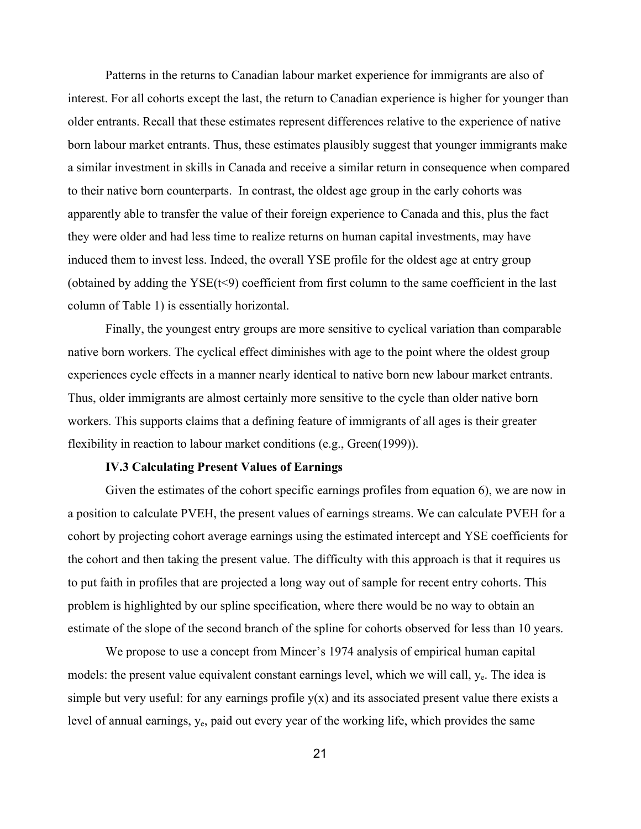Patterns in the returns to Canadian labour market experience for immigrants are also of interest. For all cohorts except the last, the return to Canadian experience is higher for younger than older entrants. Recall that these estimates represent differences relative to the experience of native born labour market entrants. Thus, these estimates plausibly suggest that younger immigrants make a similar investment in skills in Canada and receive a similar return in consequence when compared to their native born counterparts. In contrast, the oldest age group in the early cohorts was apparently able to transfer the value of their foreign experience to Canada and this, plus the fact they were older and had less time to realize returns on human capital investments, may have induced them to invest less. Indeed, the overall YSE profile for the oldest age at entry group (obtained by adding the  $YSE(t<9)$  coefficient from first column to the same coefficient in the last column of Table 1) is essentially horizontal.

Finally, the youngest entry groups are more sensitive to cyclical variation than comparable native born workers. The cyclical effect diminishes with age to the point where the oldest group experiences cycle effects in a manner nearly identical to native born new labour market entrants. Thus, older immigrants are almost certainly more sensitive to the cycle than older native born workers. This supports claims that a defining feature of immigrants of all ages is their greater flexibility in reaction to labour market conditions (e.g., Green(1999)).

### **IV.3 Calculating Present Values of Earnings**

Given the estimates of the cohort specific earnings profiles from equation 6), we are now in a position to calculate PVEH, the present values of earnings streams. We can calculate PVEH for a cohort by projecting cohort average earnings using the estimated intercept and YSE coefficients for the cohort and then taking the present value. The difficulty with this approach is that it requires us to put faith in profiles that are projected a long way out of sample for recent entry cohorts. This problem is highlighted by our spline specification, where there would be no way to obtain an estimate of the slope of the second branch of the spline for cohorts observed for less than 10 years.

We propose to use a concept from Mincer's 1974 analysis of empirical human capital models: the present value equivalent constant earnings level, which we will call,  $y_e$ . The idea is simple but very useful: for any earnings profile  $y(x)$  and its associated present value there exists a level of annual earnings, ye, paid out every year of the working life, which provides the same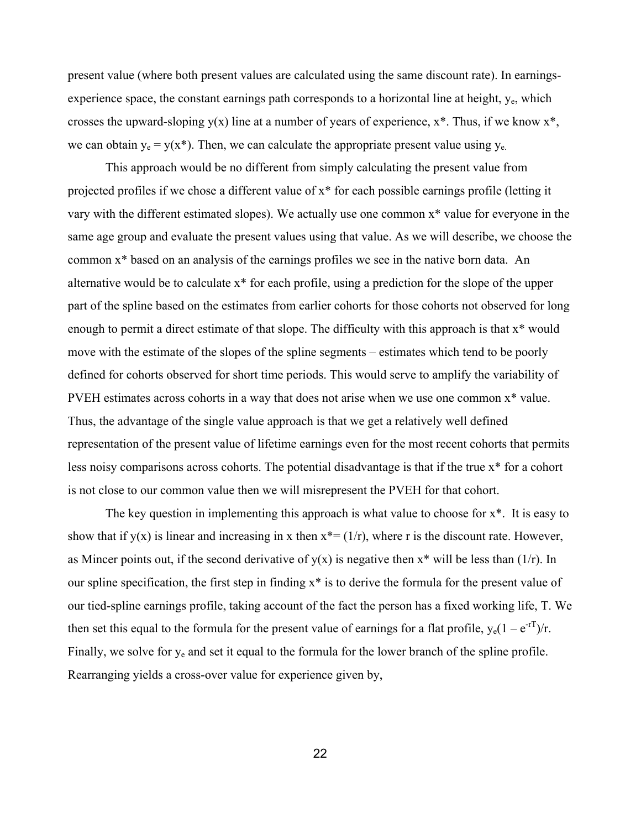present value (where both present values are calculated using the same discount rate). In earningsexperience space, the constant earnings path corresponds to a horizontal line at height,  $y_e$ , which crosses the upward-sloping  $y(x)$  line at a number of years of experience,  $x^*$ . Thus, if we know  $x^*$ , we can obtain  $y_e = y(x^*)$ . Then, we can calculate the appropriate present value using  $y_e$ .

This approach would be no different from simply calculating the present value from projected profiles if we chose a different value of x\* for each possible earnings profile (letting it vary with the different estimated slopes). We actually use one common x\* value for everyone in the same age group and evaluate the present values using that value. As we will describe, we choose the common x\* based on an analysis of the earnings profiles we see in the native born data. An alternative would be to calculate x\* for each profile, using a prediction for the slope of the upper part of the spline based on the estimates from earlier cohorts for those cohorts not observed for long enough to permit a direct estimate of that slope. The difficulty with this approach is that x\* would move with the estimate of the slopes of the spline segments – estimates which tend to be poorly defined for cohorts observed for short time periods. This would serve to amplify the variability of PVEH estimates across cohorts in a way that does not arise when we use one common  $x^*$  value. Thus, the advantage of the single value approach is that we get a relatively well defined representation of the present value of lifetime earnings even for the most recent cohorts that permits less noisy comparisons across cohorts. The potential disadvantage is that if the true x\* for a cohort is not close to our common value then we will misrepresent the PVEH for that cohort.

The key question in implementing this approach is what value to choose for x\*. It is easy to show that if  $y(x)$  is linear and increasing in x then  $x^* = (1/r)$ , where r is the discount rate. However, as Mincer points out, if the second derivative of  $y(x)$  is negative then  $x^*$  will be less than (1/r). In our spline specification, the first step in finding x\* is to derive the formula for the present value of our tied-spline earnings profile, taking account of the fact the person has a fixed working life, T. We then set this equal to the formula for the present value of earnings for a flat profile,  $y_e(1 - e^{rT})/r$ . Finally, we solve for  $y_e$  and set it equal to the formula for the lower branch of the spline profile. Rearranging yields a cross-over value for experience given by,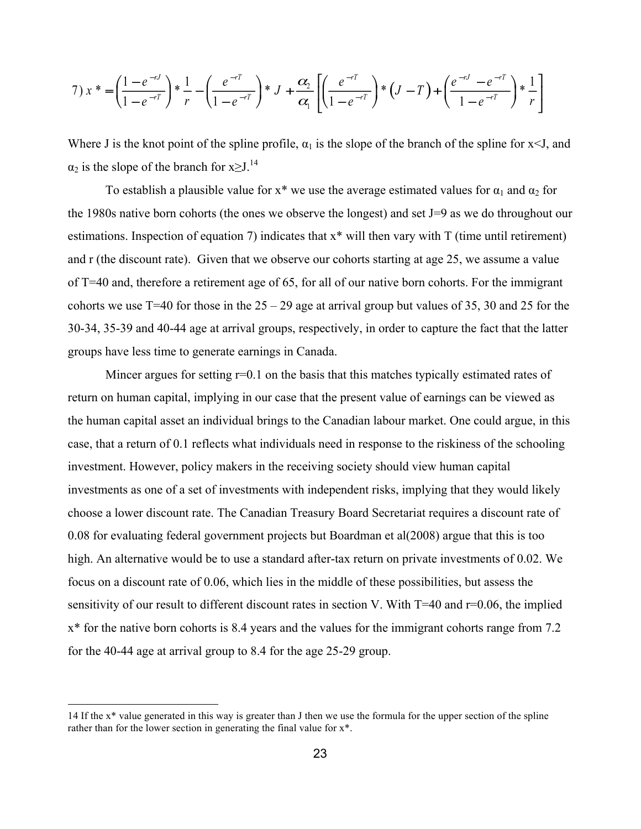$$
7) x * = \left(\frac{1 - e^{-rJ}}{1 - e^{-r}}\right) * \frac{1}{r} - \left(\frac{e^{-rT}}{1 - e^{-rT}}\right) * J + \frac{\alpha_2}{\alpha_1} \left[\left(\frac{e^{-rT}}{1 - e^{-rT}}\right) * \left(J - T\right) + \left(\frac{e^{-rJ} - e^{-rT}}{1 - e^{-rT}}\right) * \frac{1}{r}\right]
$$

Where J is the knot point of the spline profile,  $\alpha_1$  is the slope of the branch of the spline for x<J, and  $\alpha_2$  is the slope of the branch for x $\geq$ J.<sup>14</sup>

To establish a plausible value for  $x^*$  we use the average estimated values for  $\alpha_1$  and  $\alpha_2$  for the 1980s native born cohorts (the ones we observe the longest) and set J=9 as we do throughout our estimations. Inspection of equation 7) indicates that x\* will then vary with T (time until retirement) and r (the discount rate). Given that we observe our cohorts starting at age 25, we assume a value of T=40 and, therefore a retirement age of 65, for all of our native born cohorts. For the immigrant cohorts we use T=40 for those in the  $25 - 29$  age at arrival group but values of 35, 30 and 25 for the 30-34, 35-39 and 40-44 age at arrival groups, respectively, in order to capture the fact that the latter groups have less time to generate earnings in Canada.

Mincer argues for setting r=0.1 on the basis that this matches typically estimated rates of return on human capital, implying in our case that the present value of earnings can be viewed as the human capital asset an individual brings to the Canadian labour market. One could argue, in this case, that a return of 0.1 reflects what individuals need in response to the riskiness of the schooling investment. However, policy makers in the receiving society should view human capital investments as one of a set of investments with independent risks, implying that they would likely choose a lower discount rate. The Canadian Treasury Board Secretariat requires a discount rate of 0.08 for evaluating federal government projects but Boardman et al(2008) argue that this is too high. An alternative would be to use a standard after-tax return on private investments of 0.02. We focus on a discount rate of 0.06, which lies in the middle of these possibilities, but assess the sensitivity of our result to different discount rates in section V. With T=40 and r=0.06, the implied x\* for the native born cohorts is 8.4 years and the values for the immigrant cohorts range from 7.2 for the 40-44 age at arrival group to 8.4 for the age 25-29 group.

 <sup>14</sup> If the x\* value generated in this way is greater than J then we use the formula for the upper section of the spline rather than for the lower section in generating the final value for x\*.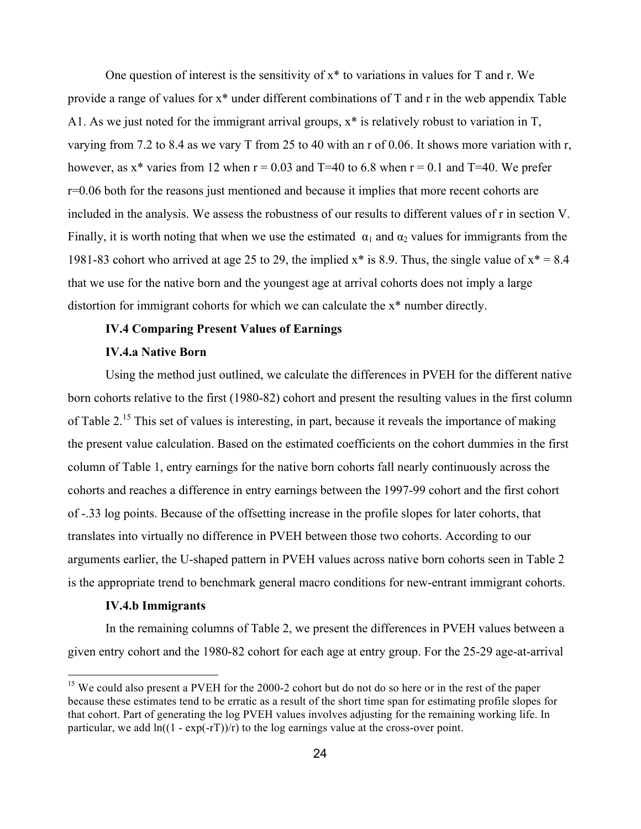One question of interest is the sensitivity of  $x^*$  to variations in values for T and r. We provide a range of values for x\* under different combinations of T and r in the web appendix Table A1. As we just noted for the immigrant arrival groups,  $x^*$  is relatively robust to variation in T, varying from 7.2 to 8.4 as we vary T from 25 to 40 with an r of 0.06. It shows more variation with r, however, as  $x^*$  varies from 12 when  $r = 0.03$  and T=40 to 6.8 when  $r = 0.1$  and T=40. We prefer r=0.06 both for the reasons just mentioned and because it implies that more recent cohorts are included in the analysis. We assess the robustness of our results to different values of r in section V. Finally, it is worth noting that when we use the estimated  $\alpha_1$  and  $\alpha_2$  values for immigrants from the 1981-83 cohort who arrived at age 25 to 29, the implied  $x^*$  is 8.9. Thus, the single value of  $x^* = 8.4$ that we use for the native born and the youngest age at arrival cohorts does not imply a large distortion for immigrant cohorts for which we can calculate the x\* number directly.

#### **IV.4 Comparing Present Values of Earnings**

#### **IV.4.a Native Born**

Using the method just outlined, we calculate the differences in PVEH for the different native born cohorts relative to the first (1980-82) cohort and present the resulting values in the first column of Table 2.<sup>15</sup> This set of values is interesting, in part, because it reveals the importance of making the present value calculation. Based on the estimated coefficients on the cohort dummies in the first column of Table 1, entry earnings for the native born cohorts fall nearly continuously across the cohorts and reaches a difference in entry earnings between the 1997-99 cohort and the first cohort of -.33 log points. Because of the offsetting increase in the profile slopes for later cohorts, that translates into virtually no difference in PVEH between those two cohorts. According to our arguments earlier, the U-shaped pattern in PVEH values across native born cohorts seen in Table 2 is the appropriate trend to benchmark general macro conditions for new-entrant immigrant cohorts.

# **IV.4.b Immigrants**

In the remaining columns of Table 2, we present the differences in PVEH values between a given entry cohort and the 1980-82 cohort for each age at entry group. For the 25-29 age-at-arrival

<sup>&</sup>lt;sup>15</sup> We could also present a PVEH for the 2000-2 cohort but do not do so here or in the rest of the paper because these estimates tend to be erratic as a result of the short time span for estimating profile slopes for that cohort. Part of generating the log PVEH values involves adjusting for the remaining working life. In particular, we add  $ln((1 - exp(-rT))/r)$  to the log earnings value at the cross-over point.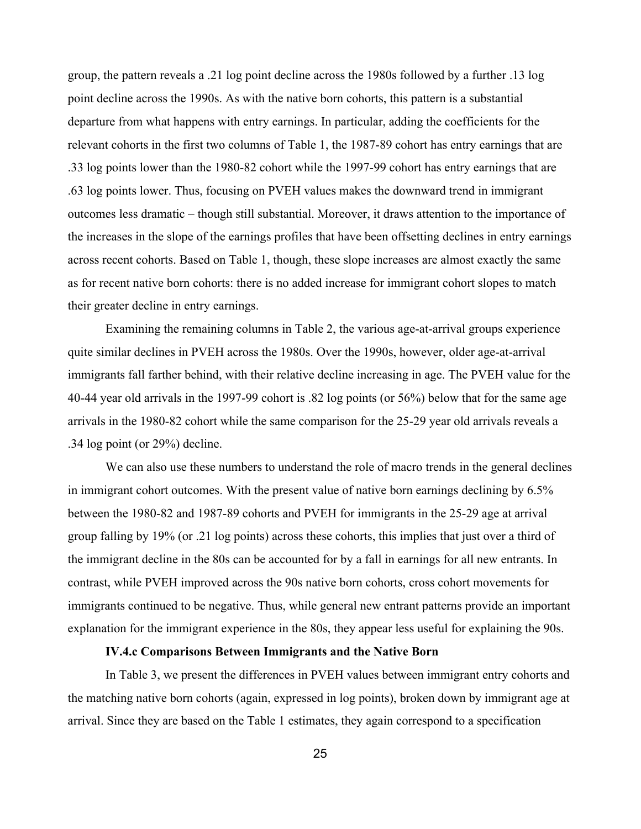group, the pattern reveals a .21 log point decline across the 1980s followed by a further .13 log point decline across the 1990s. As with the native born cohorts, this pattern is a substantial departure from what happens with entry earnings. In particular, adding the coefficients for the relevant cohorts in the first two columns of Table 1, the 1987-89 cohort has entry earnings that are .33 log points lower than the 1980-82 cohort while the 1997-99 cohort has entry earnings that are .63 log points lower. Thus, focusing on PVEH values makes the downward trend in immigrant outcomes less dramatic – though still substantial. Moreover, it draws attention to the importance of the increases in the slope of the earnings profiles that have been offsetting declines in entry earnings across recent cohorts. Based on Table 1, though, these slope increases are almost exactly the same as for recent native born cohorts: there is no added increase for immigrant cohort slopes to match their greater decline in entry earnings.

Examining the remaining columns in Table 2, the various age-at-arrival groups experience quite similar declines in PVEH across the 1980s. Over the 1990s, however, older age-at-arrival immigrants fall farther behind, with their relative decline increasing in age. The PVEH value for the 40-44 year old arrivals in the 1997-99 cohort is .82 log points (or 56%) below that for the same age arrivals in the 1980-82 cohort while the same comparison for the 25-29 year old arrivals reveals a .34 log point (or 29%) decline.

We can also use these numbers to understand the role of macro trends in the general declines in immigrant cohort outcomes. With the present value of native born earnings declining by 6.5% between the 1980-82 and 1987-89 cohorts and PVEH for immigrants in the 25-29 age at arrival group falling by 19% (or .21 log points) across these cohorts, this implies that just over a third of the immigrant decline in the 80s can be accounted for by a fall in earnings for all new entrants. In contrast, while PVEH improved across the 90s native born cohorts, cross cohort movements for immigrants continued to be negative. Thus, while general new entrant patterns provide an important explanation for the immigrant experience in the 80s, they appear less useful for explaining the 90s.

#### **IV.4.c Comparisons Between Immigrants and the Native Born**

In Table 3, we present the differences in PVEH values between immigrant entry cohorts and the matching native born cohorts (again, expressed in log points), broken down by immigrant age at arrival. Since they are based on the Table 1 estimates, they again correspond to a specification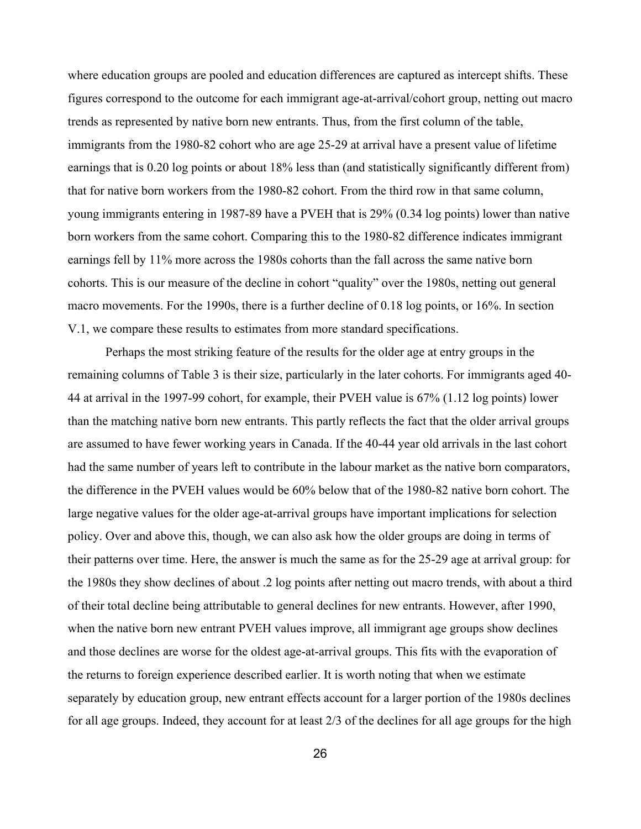where education groups are pooled and education differences are captured as intercept shifts. These figures correspond to the outcome for each immigrant age-at-arrival/cohort group, netting out macro trends as represented by native born new entrants. Thus, from the first column of the table, immigrants from the 1980-82 cohort who are age 25-29 at arrival have a present value of lifetime earnings that is 0.20 log points or about 18% less than (and statistically significantly different from) that for native born workers from the 1980-82 cohort. From the third row in that same column, young immigrants entering in 1987-89 have a PVEH that is 29% (0.34 log points) lower than native born workers from the same cohort. Comparing this to the 1980-82 difference indicates immigrant earnings fell by 11% more across the 1980s cohorts than the fall across the same native born cohorts. This is our measure of the decline in cohort "quality" over the 1980s, netting out general macro movements. For the 1990s, there is a further decline of 0.18 log points, or 16%. In section V.1, we compare these results to estimates from more standard specifications.

Perhaps the most striking feature of the results for the older age at entry groups in the remaining columns of Table 3 is their size, particularly in the later cohorts. For immigrants aged 40- 44 at arrival in the 1997-99 cohort, for example, their PVEH value is 67% (1.12 log points) lower than the matching native born new entrants. This partly reflects the fact that the older arrival groups are assumed to have fewer working years in Canada. If the 40-44 year old arrivals in the last cohort had the same number of years left to contribute in the labour market as the native born comparators, the difference in the PVEH values would be 60% below that of the 1980-82 native born cohort. The large negative values for the older age-at-arrival groups have important implications for selection policy. Over and above this, though, we can also ask how the older groups are doing in terms of their patterns over time. Here, the answer is much the same as for the 25-29 age at arrival group: for the 1980s they show declines of about .2 log points after netting out macro trends, with about a third of their total decline being attributable to general declines for new entrants. However, after 1990, when the native born new entrant PVEH values improve, all immigrant age groups show declines and those declines are worse for the oldest age-at-arrival groups. This fits with the evaporation of the returns to foreign experience described earlier. It is worth noting that when we estimate separately by education group, new entrant effects account for a larger portion of the 1980s declines for all age groups. Indeed, they account for at least 2/3 of the declines for all age groups for the high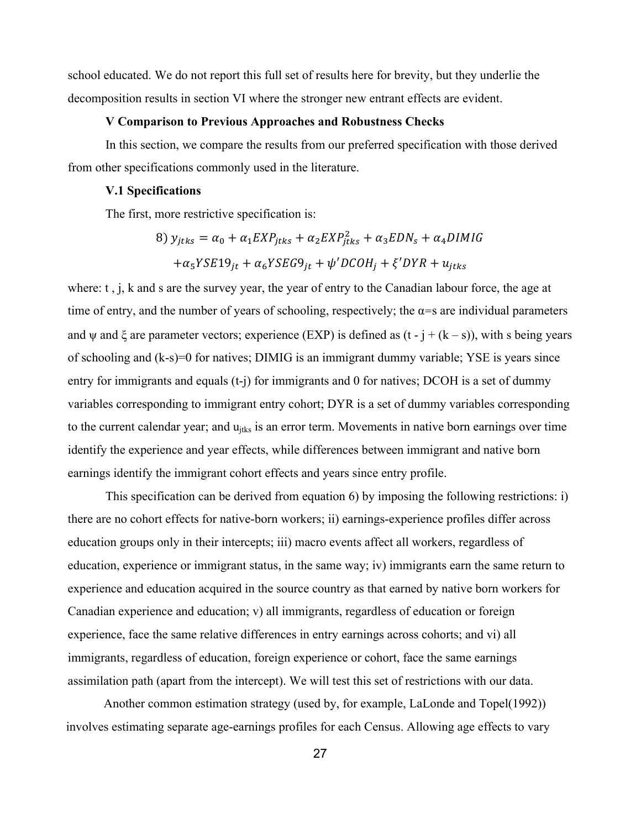school educated. We do not report this full set of results here for brevity, but they underlie the decomposition results in section VI where the stronger new entrant effects are evident.

# **V Comparison to Previous Approaches and Robustness Checks**

In this section, we compare the results from our preferred specification with those derived from other specifications commonly used in the literature.

# **V.1 Specifications**

The first, more restrictive specification is:

8) 
$$
y_{jtks} = \alpha_0 + \alpha_1 EXP_{itks} + \alpha_2 EXP_{itks}^2 + \alpha_3 ENDN_s + \alpha_4 DIMIG
$$
  
+ $\alpha_5 YSE19_{jt} + \alpha_6 YSEG9_{jt} + \psi' DCOH_j + \xi' DYR + u_{itks}$ 

where: t, j, k and s are the survey year, the year of entry to the Canadian labour force, the age at time of entry, and the number of years of schooling, respectively; the  $\alpha = s$  are individual parameters and  $\psi$  and  $\xi$  are parameter vectors; experience (EXP) is defined as (t - j + (k – s)), with s being years of schooling and (k-s)=0 for natives; DIMIG is an immigrant dummy variable; YSE is years since entry for immigrants and equals (t-j) for immigrants and 0 for natives; DCOH is a set of dummy variables corresponding to immigrant entry cohort; DYR is a set of dummy variables corresponding to the current calendar year; and  $u_{itks}$  is an error term. Movements in native born earnings over time identify the experience and year effects, while differences between immigrant and native born earnings identify the immigrant cohort effects and years since entry profile.

This specification can be derived from equation 6) by imposing the following restrictions: i) there are no cohort effects for native-born workers; ii) earnings-experience profiles differ across education groups only in their intercepts; iii) macro events affect all workers, regardless of education, experience or immigrant status, in the same way; iv) immigrants earn the same return to experience and education acquired in the source country as that earned by native born workers for Canadian experience and education; v) all immigrants, regardless of education or foreign experience, face the same relative differences in entry earnings across cohorts; and vi) all immigrants, regardless of education, foreign experience or cohort, face the same earnings assimilation path (apart from the intercept). We will test this set of restrictions with our data.

Another common estimation strategy (used by, for example, LaLonde and Topel(1992)) involves estimating separate age-earnings profiles for each Census. Allowing age effects to vary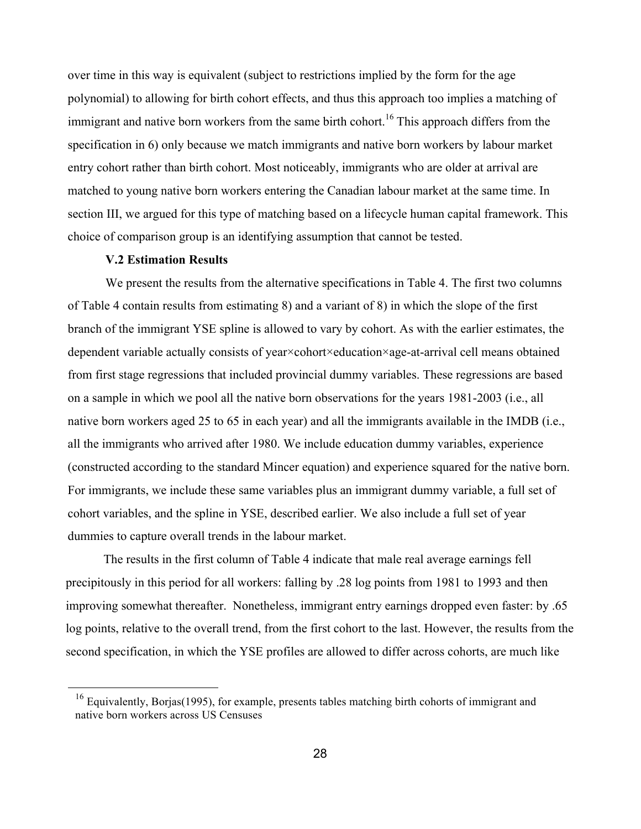over time in this way is equivalent (subject to restrictions implied by the form for the age polynomial) to allowing for birth cohort effects, and thus this approach too implies a matching of immigrant and native born workers from the same birth cohort.<sup>16</sup> This approach differs from the specification in 6) only because we match immigrants and native born workers by labour market entry cohort rather than birth cohort. Most noticeably, immigrants who are older at arrival are matched to young native born workers entering the Canadian labour market at the same time. In section III, we argued for this type of matching based on a lifecycle human capital framework. This choice of comparison group is an identifying assumption that cannot be tested.

#### **V.2 Estimation Results**

We present the results from the alternative specifications in Table 4. The first two columns of Table 4 contain results from estimating 8) and a variant of 8) in which the slope of the first branch of the immigrant YSE spline is allowed to vary by cohort. As with the earlier estimates, the dependent variable actually consists of year×cohort×education×age-at-arrival cell means obtained from first stage regressions that included provincial dummy variables. These regressions are based on a sample in which we pool all the native born observations for the years 1981-2003 (i.e., all native born workers aged 25 to 65 in each year) and all the immigrants available in the IMDB (i.e., all the immigrants who arrived after 1980. We include education dummy variables, experience (constructed according to the standard Mincer equation) and experience squared for the native born. For immigrants, we include these same variables plus an immigrant dummy variable, a full set of cohort variables, and the spline in YSE, described earlier. We also include a full set of year dummies to capture overall trends in the labour market.

The results in the first column of Table 4 indicate that male real average earnings fell precipitously in this period for all workers: falling by .28 log points from 1981 to 1993 and then improving somewhat thereafter. Nonetheless, immigrant entry earnings dropped even faster: by .65 log points, relative to the overall trend, from the first cohort to the last. However, the results from the second specification, in which the YSE profiles are allowed to differ across cohorts, are much like

<sup>&</sup>lt;sup>16</sup> Equivalently, Borjas(1995), for example, presents tables matching birth cohorts of immigrant and native born workers across US Censuses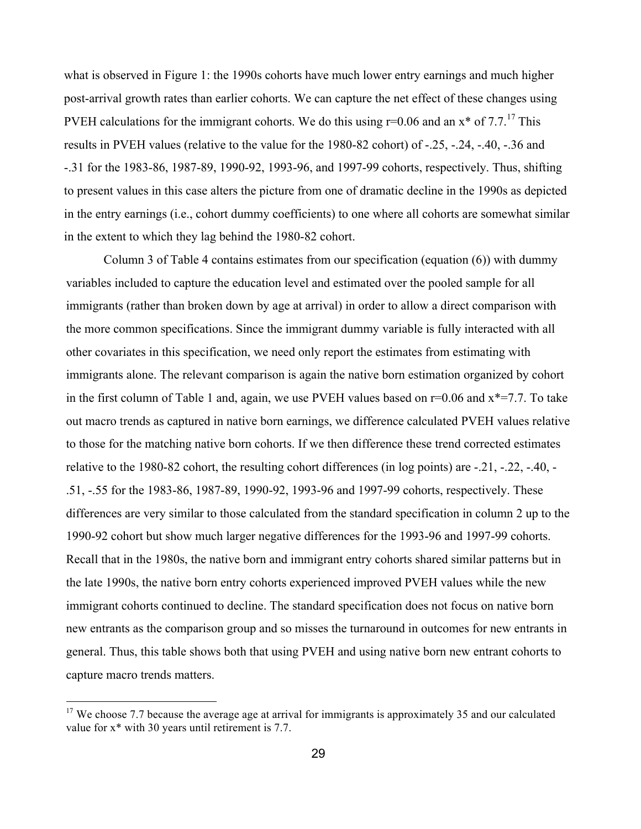what is observed in Figure 1: the 1990s cohorts have much lower entry earnings and much higher post-arrival growth rates than earlier cohorts. We can capture the net effect of these changes using PVEH calculations for the immigrant cohorts. We do this using  $r=0.06$  and an  $x^*$  of 7.7.<sup>17</sup> This results in PVEH values (relative to the value for the 1980-82 cohort) of -.25, -.24, -.40, -.36 and -.31 for the 1983-86, 1987-89, 1990-92, 1993-96, and 1997-99 cohorts, respectively. Thus, shifting to present values in this case alters the picture from one of dramatic decline in the 1990s as depicted in the entry earnings (i.e., cohort dummy coefficients) to one where all cohorts are somewhat similar in the extent to which they lag behind the 1980-82 cohort.

Column 3 of Table 4 contains estimates from our specification (equation (6)) with dummy variables included to capture the education level and estimated over the pooled sample for all immigrants (rather than broken down by age at arrival) in order to allow a direct comparison with the more common specifications. Since the immigrant dummy variable is fully interacted with all other covariates in this specification, we need only report the estimates from estimating with immigrants alone. The relevant comparison is again the native born estimation organized by cohort in the first column of Table 1 and, again, we use PVEH values based on  $r=0.06$  and  $x^*=7.7$ . To take out macro trends as captured in native born earnings, we difference calculated PVEH values relative to those for the matching native born cohorts. If we then difference these trend corrected estimates relative to the 1980-82 cohort, the resulting cohort differences (in log points) are -.21, -.22, -.40, - .51, -.55 for the 1983-86, 1987-89, 1990-92, 1993-96 and 1997-99 cohorts, respectively. These differences are very similar to those calculated from the standard specification in column 2 up to the 1990-92 cohort but show much larger negative differences for the 1993-96 and 1997-99 cohorts. Recall that in the 1980s, the native born and immigrant entry cohorts shared similar patterns but in the late 1990s, the native born entry cohorts experienced improved PVEH values while the new immigrant cohorts continued to decline. The standard specification does not focus on native born new entrants as the comparison group and so misses the turnaround in outcomes for new entrants in general. Thus, this table shows both that using PVEH and using native born new entrant cohorts to capture macro trends matters.

 $17$  We choose 7.7 because the average age at arrival for immigrants is approximately 35 and our calculated value for x\* with 30 years until retirement is 7.7.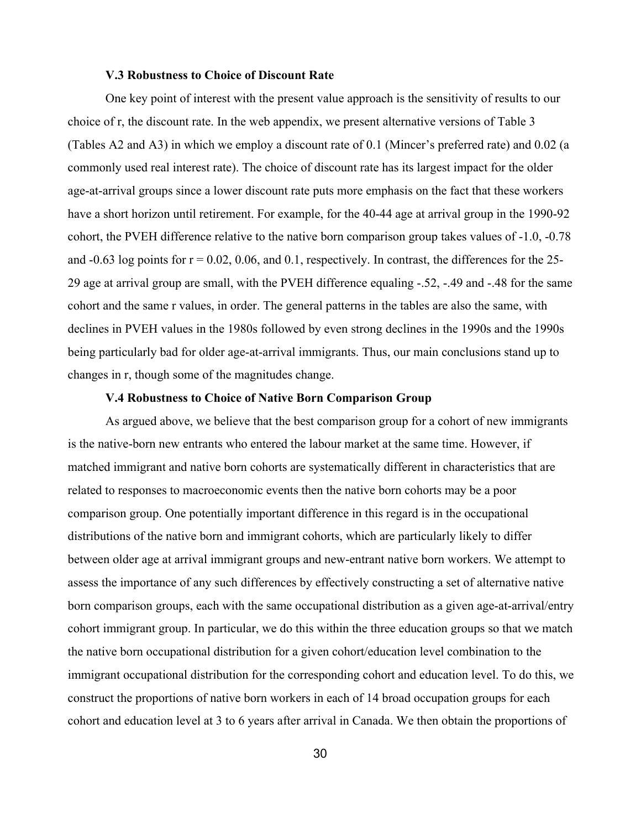### **V.3 Robustness to Choice of Discount Rate**

One key point of interest with the present value approach is the sensitivity of results to our choice of r, the discount rate. In the web appendix, we present alternative versions of Table 3 (Tables A2 and A3) in which we employ a discount rate of 0.1 (Mincer's preferred rate) and 0.02 (a commonly used real interest rate). The choice of discount rate has its largest impact for the older age-at-arrival groups since a lower discount rate puts more emphasis on the fact that these workers have a short horizon until retirement. For example, for the 40-44 age at arrival group in the 1990-92 cohort, the PVEH difference relative to the native born comparison group takes values of -1.0, -0.78 and  $-0.63$  log points for  $r = 0.02$ , 0.06, and 0.1, respectively. In contrast, the differences for the 25-29 age at arrival group are small, with the PVEH difference equaling -.52, -.49 and -.48 for the same cohort and the same r values, in order. The general patterns in the tables are also the same, with declines in PVEH values in the 1980s followed by even strong declines in the 1990s and the 1990s being particularly bad for older age-at-arrival immigrants. Thus, our main conclusions stand up to changes in r, though some of the magnitudes change.

#### **V.4 Robustness to Choice of Native Born Comparison Group**

As argued above, we believe that the best comparison group for a cohort of new immigrants is the native-born new entrants who entered the labour market at the same time. However, if matched immigrant and native born cohorts are systematically different in characteristics that are related to responses to macroeconomic events then the native born cohorts may be a poor comparison group. One potentially important difference in this regard is in the occupational distributions of the native born and immigrant cohorts, which are particularly likely to differ between older age at arrival immigrant groups and new-entrant native born workers. We attempt to assess the importance of any such differences by effectively constructing a set of alternative native born comparison groups, each with the same occupational distribution as a given age-at-arrival/entry cohort immigrant group. In particular, we do this within the three education groups so that we match the native born occupational distribution for a given cohort/education level combination to the immigrant occupational distribution for the corresponding cohort and education level. To do this, we construct the proportions of native born workers in each of 14 broad occupation groups for each cohort and education level at 3 to 6 years after arrival in Canada. We then obtain the proportions of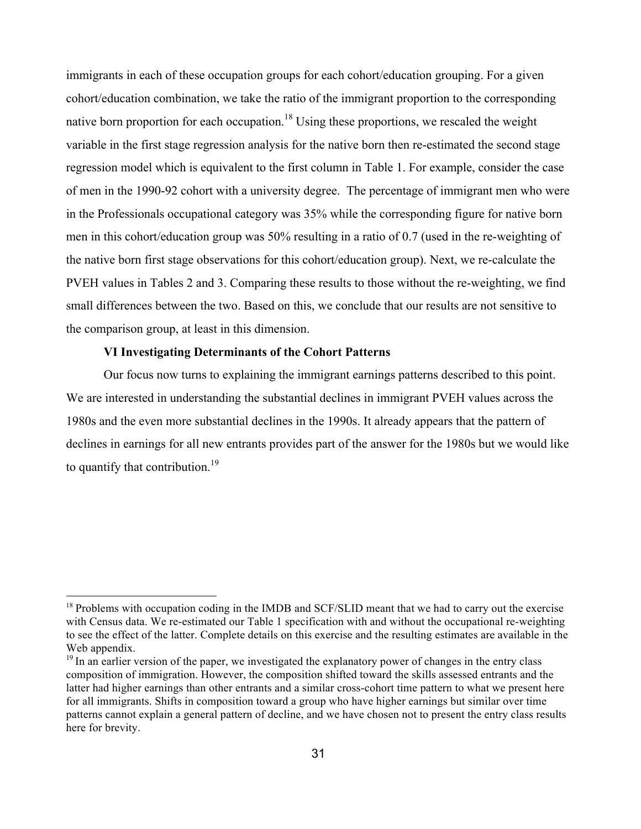immigrants in each of these occupation groups for each cohort/education grouping. For a given cohort/education combination, we take the ratio of the immigrant proportion to the corresponding native born proportion for each occupation.<sup>18</sup> Using these proportions, we rescaled the weight variable in the first stage regression analysis for the native born then re-estimated the second stage regression model which is equivalent to the first column in Table 1. For example, consider the case of men in the 1990-92 cohort with a university degree. The percentage of immigrant men who were in the Professionals occupational category was 35% while the corresponding figure for native born men in this cohort/education group was 50% resulting in a ratio of 0.7 (used in the re-weighting of the native born first stage observations for this cohort/education group). Next, we re-calculate the PVEH values in Tables 2 and 3. Comparing these results to those without the re-weighting, we find small differences between the two. Based on this, we conclude that our results are not sensitive to the comparison group, at least in this dimension.

#### **VI Investigating Determinants of the Cohort Patterns**

Our focus now turns to explaining the immigrant earnings patterns described to this point. We are interested in understanding the substantial declines in immigrant PVEH values across the 1980s and the even more substantial declines in the 1990s. It already appears that the pattern of declines in earnings for all new entrants provides part of the answer for the 1980s but we would like to quantify that contribution.<sup>19</sup>

<sup>&</sup>lt;sup>18</sup> Problems with occupation coding in the IMDB and SCF/SLID meant that we had to carry out the exercise with Census data. We re-estimated our Table 1 specification with and without the occupational re-weighting to see the effect of the latter. Complete details on this exercise and the resulting estimates are available in the Web appendix.

<sup>&</sup>lt;sup>19</sup> In an earlier version of the paper, we investigated the explanatory power of changes in the entry class composition of immigration. However, the composition shifted toward the skills assessed entrants and the latter had higher earnings than other entrants and a similar cross-cohort time pattern to what we present here for all immigrants. Shifts in composition toward a group who have higher earnings but similar over time patterns cannot explain a general pattern of decline, and we have chosen not to present the entry class results here for brevity.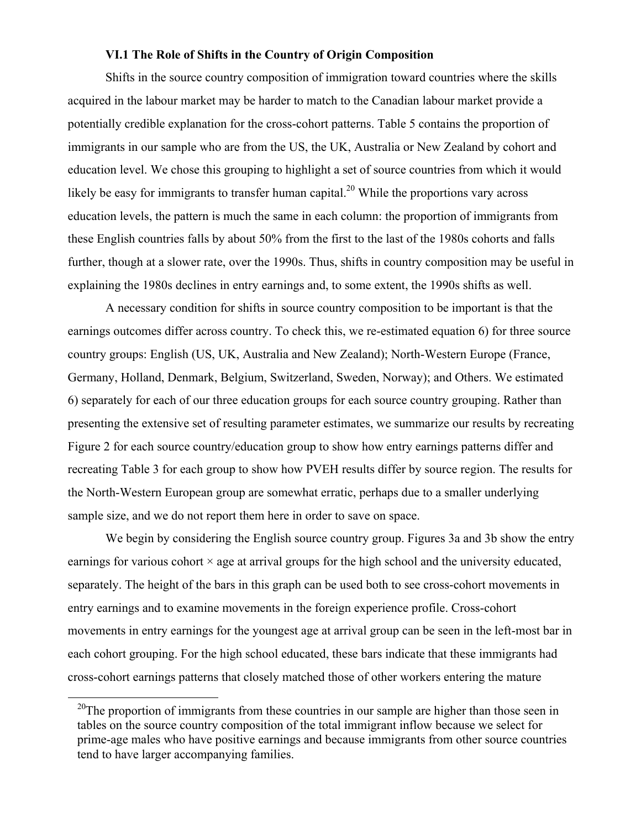# **VI.1 The Role of Shifts in the Country of Origin Composition**

Shifts in the source country composition of immigration toward countries where the skills acquired in the labour market may be harder to match to the Canadian labour market provide a potentially credible explanation for the cross-cohort patterns. Table 5 contains the proportion of immigrants in our sample who are from the US, the UK, Australia or New Zealand by cohort and education level. We chose this grouping to highlight a set of source countries from which it would likely be easy for immigrants to transfer human capital.<sup>20</sup> While the proportions vary across education levels, the pattern is much the same in each column: the proportion of immigrants from these English countries falls by about 50% from the first to the last of the 1980s cohorts and falls further, though at a slower rate, over the 1990s. Thus, shifts in country composition may be useful in explaining the 1980s declines in entry earnings and, to some extent, the 1990s shifts as well.

A necessary condition for shifts in source country composition to be important is that the earnings outcomes differ across country. To check this, we re-estimated equation 6) for three source country groups: English (US, UK, Australia and New Zealand); North-Western Europe (France, Germany, Holland, Denmark, Belgium, Switzerland, Sweden, Norway); and Others. We estimated 6) separately for each of our three education groups for each source country grouping. Rather than presenting the extensive set of resulting parameter estimates, we summarize our results by recreating Figure 2 for each source country/education group to show how entry earnings patterns differ and recreating Table 3 for each group to show how PVEH results differ by source region. The results for the North-Western European group are somewhat erratic, perhaps due to a smaller underlying sample size, and we do not report them here in order to save on space.

We begin by considering the English source country group. Figures 3a and 3b show the entry earnings for various cohort  $\times$  age at arrival groups for the high school and the university educated, separately. The height of the bars in this graph can be used both to see cross-cohort movements in entry earnings and to examine movements in the foreign experience profile. Cross-cohort movements in entry earnings for the youngest age at arrival group can be seen in the left-most bar in each cohort grouping. For the high school educated, these bars indicate that these immigrants had cross-cohort earnings patterns that closely matched those of other workers entering the mature

 $20$ The proportion of immigrants from these countries in our sample are higher than those seen in tables on the source country composition of the total immigrant inflow because we select for prime-age males who have positive earnings and because immigrants from other source countries tend to have larger accompanying families.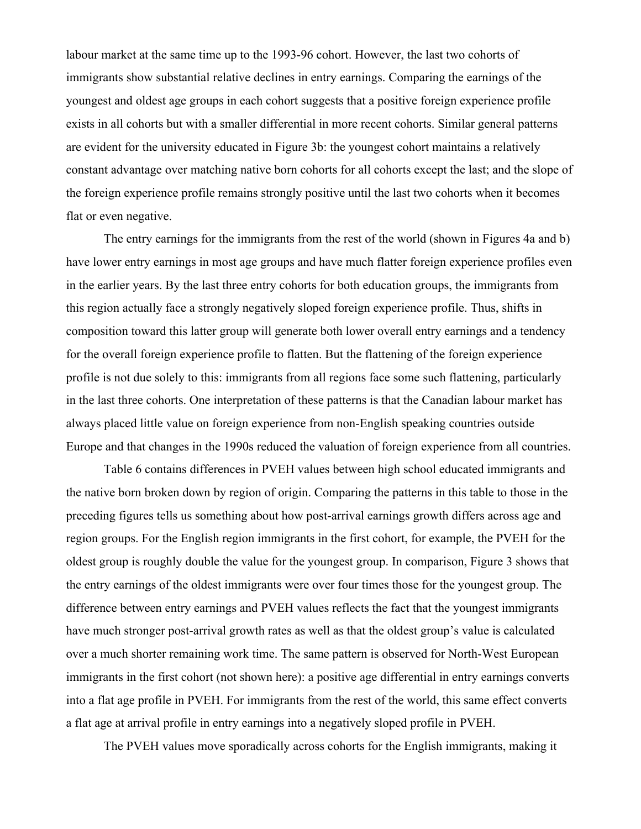labour market at the same time up to the 1993-96 cohort. However, the last two cohorts of immigrants show substantial relative declines in entry earnings. Comparing the earnings of the youngest and oldest age groups in each cohort suggests that a positive foreign experience profile exists in all cohorts but with a smaller differential in more recent cohorts. Similar general patterns are evident for the university educated in Figure 3b: the youngest cohort maintains a relatively constant advantage over matching native born cohorts for all cohorts except the last; and the slope of the foreign experience profile remains strongly positive until the last two cohorts when it becomes flat or even negative.

The entry earnings for the immigrants from the rest of the world (shown in Figures 4a and b) have lower entry earnings in most age groups and have much flatter foreign experience profiles even in the earlier years. By the last three entry cohorts for both education groups, the immigrants from this region actually face a strongly negatively sloped foreign experience profile. Thus, shifts in composition toward this latter group will generate both lower overall entry earnings and a tendency for the overall foreign experience profile to flatten. But the flattening of the foreign experience profile is not due solely to this: immigrants from all regions face some such flattening, particularly in the last three cohorts. One interpretation of these patterns is that the Canadian labour market has always placed little value on foreign experience from non-English speaking countries outside Europe and that changes in the 1990s reduced the valuation of foreign experience from all countries.

Table 6 contains differences in PVEH values between high school educated immigrants and the native born broken down by region of origin. Comparing the patterns in this table to those in the preceding figures tells us something about how post-arrival earnings growth differs across age and region groups. For the English region immigrants in the first cohort, for example, the PVEH for the oldest group is roughly double the value for the youngest group. In comparison, Figure 3 shows that the entry earnings of the oldest immigrants were over four times those for the youngest group. The difference between entry earnings and PVEH values reflects the fact that the youngest immigrants have much stronger post-arrival growth rates as well as that the oldest group's value is calculated over a much shorter remaining work time. The same pattern is observed for North-West European immigrants in the first cohort (not shown here): a positive age differential in entry earnings converts into a flat age profile in PVEH. For immigrants from the rest of the world, this same effect converts a flat age at arrival profile in entry earnings into a negatively sloped profile in PVEH.

The PVEH values move sporadically across cohorts for the English immigrants, making it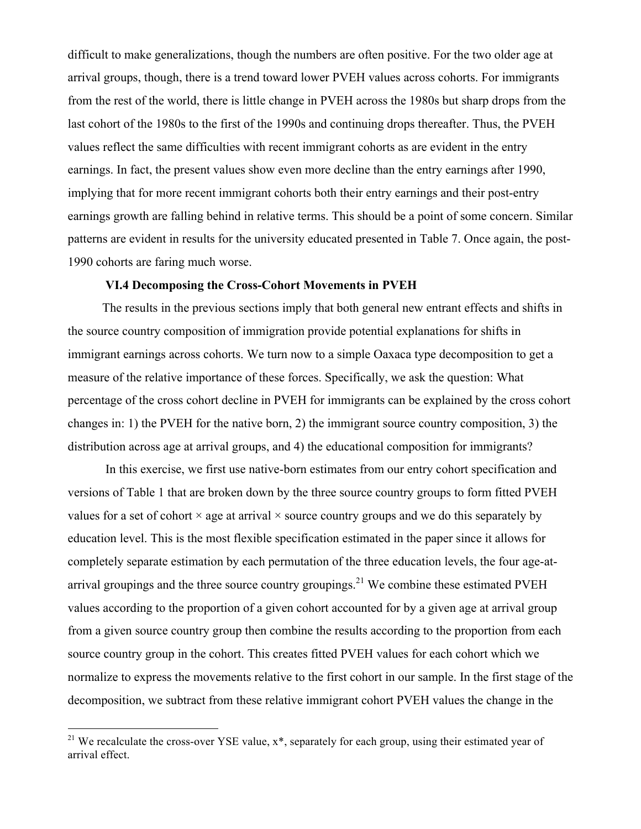difficult to make generalizations, though the numbers are often positive. For the two older age at arrival groups, though, there is a trend toward lower PVEH values across cohorts. For immigrants from the rest of the world, there is little change in PVEH across the 1980s but sharp drops from the last cohort of the 1980s to the first of the 1990s and continuing drops thereafter. Thus, the PVEH values reflect the same difficulties with recent immigrant cohorts as are evident in the entry earnings. In fact, the present values show even more decline than the entry earnings after 1990, implying that for more recent immigrant cohorts both their entry earnings and their post-entry earnings growth are falling behind in relative terms. This should be a point of some concern. Similar patterns are evident in results for the university educated presented in Table 7. Once again, the post-1990 cohorts are faring much worse.

#### **VI.4 Decomposing the Cross-Cohort Movements in PVEH**

 The results in the previous sections imply that both general new entrant effects and shifts in the source country composition of immigration provide potential explanations for shifts in immigrant earnings across cohorts. We turn now to a simple Oaxaca type decomposition to get a measure of the relative importance of these forces. Specifically, we ask the question: What percentage of the cross cohort decline in PVEH for immigrants can be explained by the cross cohort changes in: 1) the PVEH for the native born, 2) the immigrant source country composition, 3) the distribution across age at arrival groups, and 4) the educational composition for immigrants?

In this exercise, we first use native-born estimates from our entry cohort specification and versions of Table 1 that are broken down by the three source country groups to form fitted PVEH values for a set of cohort  $\times$  age at arrival  $\times$  source country groups and we do this separately by education level. This is the most flexible specification estimated in the paper since it allows for completely separate estimation by each permutation of the three education levels, the four age-atarrival groupings and the three source country groupings.<sup>21</sup> We combine these estimated PVEH values according to the proportion of a given cohort accounted for by a given age at arrival group from a given source country group then combine the results according to the proportion from each source country group in the cohort. This creates fitted PVEH values for each cohort which we normalize to express the movements relative to the first cohort in our sample. In the first stage of the decomposition, we subtract from these relative immigrant cohort PVEH values the change in the

<sup>&</sup>lt;sup>21</sup> We recalculate the cross-over YSE value,  $x^*$ , separately for each group, using their estimated year of arrival effect.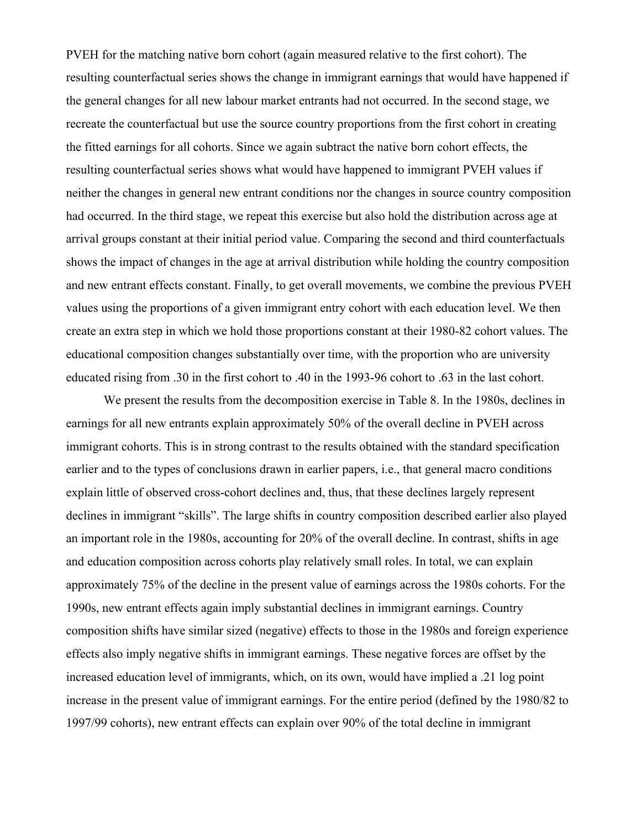PVEH for the matching native born cohort (again measured relative to the first cohort). The resulting counterfactual series shows the change in immigrant earnings that would have happened if the general changes for all new labour market entrants had not occurred. In the second stage, we recreate the counterfactual but use the source country proportions from the first cohort in creating the fitted earnings for all cohorts. Since we again subtract the native born cohort effects, the resulting counterfactual series shows what would have happened to immigrant PVEH values if neither the changes in general new entrant conditions nor the changes in source country composition had occurred. In the third stage, we repeat this exercise but also hold the distribution across age at arrival groups constant at their initial period value. Comparing the second and third counterfactuals shows the impact of changes in the age at arrival distribution while holding the country composition and new entrant effects constant. Finally, to get overall movements, we combine the previous PVEH values using the proportions of a given immigrant entry cohort with each education level. We then create an extra step in which we hold those proportions constant at their 1980-82 cohort values. The educational composition changes substantially over time, with the proportion who are university educated rising from .30 in the first cohort to .40 in the 1993-96 cohort to .63 in the last cohort.

We present the results from the decomposition exercise in Table 8. In the 1980s, declines in earnings for all new entrants explain approximately 50% of the overall decline in PVEH across immigrant cohorts. This is in strong contrast to the results obtained with the standard specification earlier and to the types of conclusions drawn in earlier papers, i.e., that general macro conditions explain little of observed cross-cohort declines and, thus, that these declines largely represent declines in immigrant "skills". The large shifts in country composition described earlier also played an important role in the 1980s, accounting for 20% of the overall decline. In contrast, shifts in age and education composition across cohorts play relatively small roles. In total, we can explain approximately 75% of the decline in the present value of earnings across the 1980s cohorts. For the 1990s, new entrant effects again imply substantial declines in immigrant earnings. Country composition shifts have similar sized (negative) effects to those in the 1980s and foreign experience effects also imply negative shifts in immigrant earnings. These negative forces are offset by the increased education level of immigrants, which, on its own, would have implied a .21 log point increase in the present value of immigrant earnings. For the entire period (defined by the 1980/82 to 1997/99 cohorts), new entrant effects can explain over 90% of the total decline in immigrant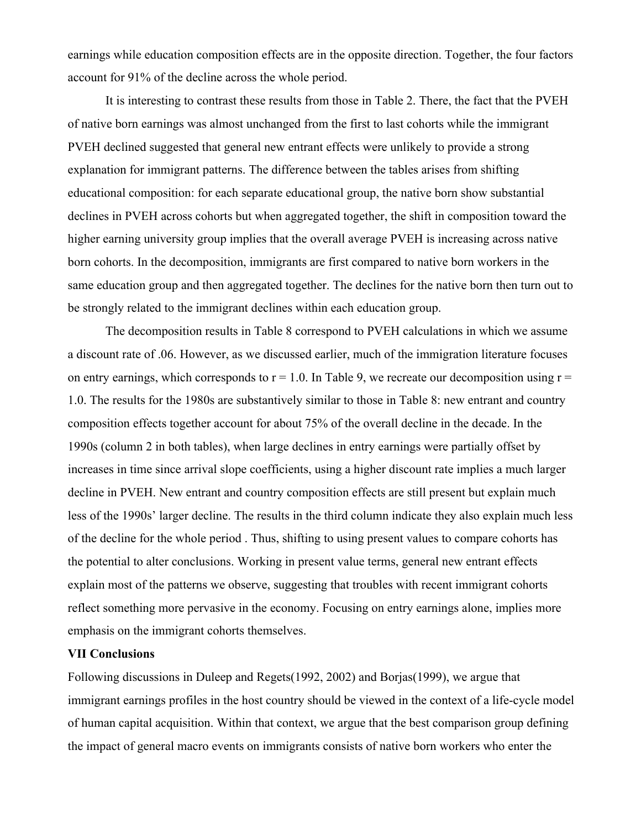earnings while education composition effects are in the opposite direction. Together, the four factors account for 91% of the decline across the whole period.

It is interesting to contrast these results from those in Table 2. There, the fact that the PVEH of native born earnings was almost unchanged from the first to last cohorts while the immigrant PVEH declined suggested that general new entrant effects were unlikely to provide a strong explanation for immigrant patterns. The difference between the tables arises from shifting educational composition: for each separate educational group, the native born show substantial declines in PVEH across cohorts but when aggregated together, the shift in composition toward the higher earning university group implies that the overall average PVEH is increasing across native born cohorts. In the decomposition, immigrants are first compared to native born workers in the same education group and then aggregated together. The declines for the native born then turn out to be strongly related to the immigrant declines within each education group.

The decomposition results in Table 8 correspond to PVEH calculations in which we assume a discount rate of .06. However, as we discussed earlier, much of the immigration literature focuses on entry earnings, which corresponds to  $r = 1.0$ . In Table 9, we recreate our decomposition using  $r =$ 1.0. The results for the 1980s are substantively similar to those in Table 8: new entrant and country composition effects together account for about 75% of the overall decline in the decade. In the 1990s (column 2 in both tables), when large declines in entry earnings were partially offset by increases in time since arrival slope coefficients, using a higher discount rate implies a much larger decline in PVEH. New entrant and country composition effects are still present but explain much less of the 1990s' larger decline. The results in the third column indicate they also explain much less of the decline for the whole period . Thus, shifting to using present values to compare cohorts has the potential to alter conclusions. Working in present value terms, general new entrant effects explain most of the patterns we observe, suggesting that troubles with recent immigrant cohorts reflect something more pervasive in the economy. Focusing on entry earnings alone, implies more emphasis on the immigrant cohorts themselves.

#### **VII Conclusions**

Following discussions in Duleep and Regets(1992, 2002) and Borjas(1999), we argue that immigrant earnings profiles in the host country should be viewed in the context of a life-cycle model of human capital acquisition. Within that context, we argue that the best comparison group defining the impact of general macro events on immigrants consists of native born workers who enter the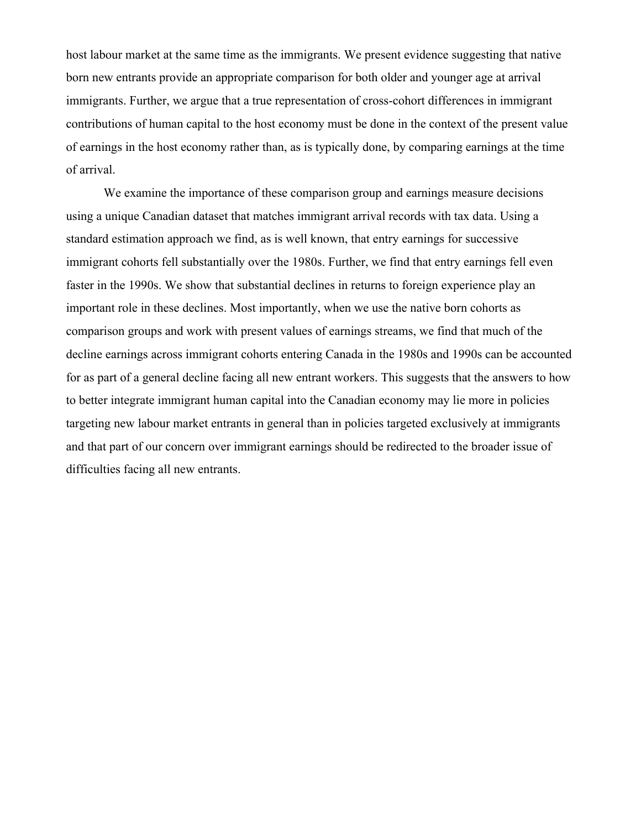host labour market at the same time as the immigrants. We present evidence suggesting that native born new entrants provide an appropriate comparison for both older and younger age at arrival immigrants. Further, we argue that a true representation of cross-cohort differences in immigrant contributions of human capital to the host economy must be done in the context of the present value of earnings in the host economy rather than, as is typically done, by comparing earnings at the time of arrival.

We examine the importance of these comparison group and earnings measure decisions using a unique Canadian dataset that matches immigrant arrival records with tax data. Using a standard estimation approach we find, as is well known, that entry earnings for successive immigrant cohorts fell substantially over the 1980s. Further, we find that entry earnings fell even faster in the 1990s. We show that substantial declines in returns to foreign experience play an important role in these declines. Most importantly, when we use the native born cohorts as comparison groups and work with present values of earnings streams, we find that much of the decline earnings across immigrant cohorts entering Canada in the 1980s and 1990s can be accounted for as part of a general decline facing all new entrant workers. This suggests that the answers to how to better integrate immigrant human capital into the Canadian economy may lie more in policies targeting new labour market entrants in general than in policies targeted exclusively at immigrants and that part of our concern over immigrant earnings should be redirected to the broader issue of difficulties facing all new entrants.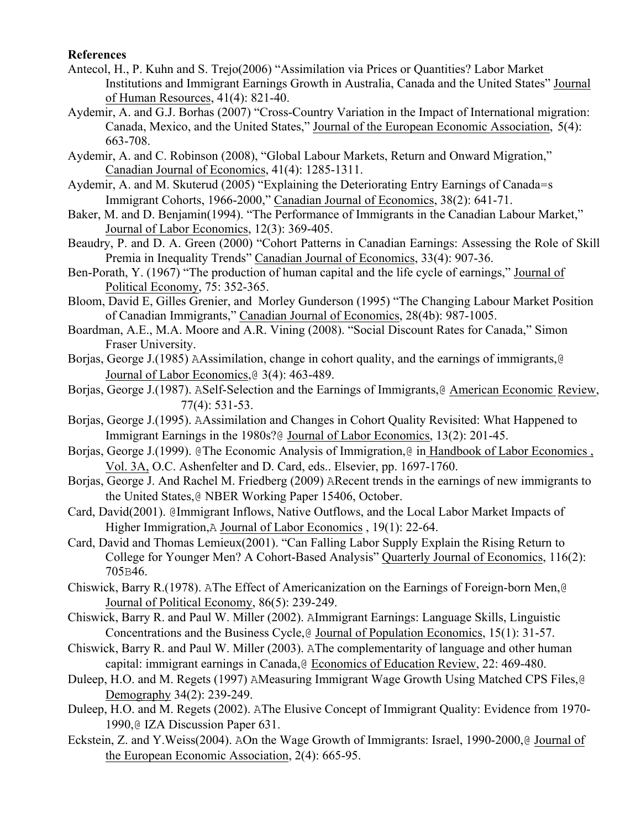# **References**

- Antecol, H., P. Kuhn and S. Trejo(2006) "Assimilation via Prices or Quantities? Labor Market Institutions and Immigrant Earnings Growth in Australia, Canada and the United States" Journal of Human Resources, 41(4): 821-40.
- Aydemir, A. and G.J. Borhas (2007) "Cross-Country Variation in the Impact of International migration: Canada, Mexico, and the United States," Journal of the European Economic Association, 5(4): 663-708.
- Aydemir, A. and C. Robinson (2008), "Global Labour Markets, Return and Onward Migration," Canadian Journal of Economics, 41(4): 1285-1311.
- Aydemir, A. and M. Skuterud (2005) "Explaining the Deteriorating Entry Earnings of Canada=s Immigrant Cohorts, 1966-2000," Canadian Journal of Economics, 38(2): 641-71.
- Baker, M. and D. Benjamin(1994). "The Performance of Immigrants in the Canadian Labour Market," Journal of Labor Economics, 12(3): 369-405.
- Beaudry, P. and D. A. Green (2000) "Cohort Patterns in Canadian Earnings: Assessing the Role of Skill Premia in Inequality Trends" Canadian Journal of Economics, 33(4): 907-36.
- Ben-Porath, Y. (1967) "The production of human capital and the life cycle of earnings," Journal of Political Economy, 75: 352-365.
- Bloom, David E, Gilles Grenier, and Morley Gunderson (1995) "The Changing Labour Market Position of Canadian Immigrants," Canadian Journal of Economics, 28(4b): 987-1005.
- Boardman, A.E., M.A. Moore and A.R. Vining (2008). "Social Discount Rates for Canada," Simon Fraser University.
- Borjas, George J.(1985) AAssimilation, change in cohort quality, and the earnings of immigrants, @ Journal of Labor Economics,@ 3(4): 463-489.
- Borjas, George J.(1987). ASelf-Selection and the Earnings of Immigrants, @ American Economic Review, 77(4): 531-53.
- Borjas, George J.(1995). AAssimilation and Changes in Cohort Quality Revisited: What Happened to Immigrant Earnings in the 1980s?@ Journal of Labor Economics, 13(2): 201-45.
- Borjas, George J.(1999). @The Economic Analysis of Immigration, @ in Handbook of Labor Economics, Vol. 3A, O.C. Ashenfelter and D. Card, eds.. Elsevier, pp. 1697-1760.
- Borjas, George J. And Rachel M. Friedberg (2009) ARecent trends in the earnings of new immigrants to the United States,@ NBER Working Paper 15406, October.
- Card, David(2001). @Immigrant Inflows, Native Outflows, and the Local Labor Market Impacts of Higher Immigration,A Journal of Labor Economics , 19(1): 22-64.
- Card, David and Thomas Lemieux(2001). "Can Falling Labor Supply Explain the Rising Return to College for Younger Men? A Cohort-Based Analysis" Quarterly Journal of Economics, 116(2): 705B46.
- Chiswick, Barry R.(1978). AThe Effect of Americanization on the Earnings of Foreign-born Men,@ Journal of Political Economy, 86(5): 239-249.
- Chiswick, Barry R. and Paul W. Miller (2002). AImmigrant Earnings: Language Skills, Linguistic Concentrations and the Business Cycle,@ Journal of Population Economics, 15(1): 31-57.
- Chiswick, Barry R. and Paul W. Miller (2003). AThe complementarity of language and other human capital: immigrant earnings in Canada,@ Economics of Education Review, 22: 469-480.
- Duleep, H.O. and M. Regets (1997) AMeasuring Immigrant Wage Growth Using Matched CPS Files,@ Demography 34(2): 239-249.
- Duleep, H.O. and M. Regets (2002). AThe Elusive Concept of Immigrant Quality: Evidence from 1970- 1990,@ IZA Discussion Paper 631.
- Eckstein, Z. and Y.Weiss(2004). AOn the Wage Growth of Immigrants: Israel, 1990-2000,@ Journal of the European Economic Association, 2(4): 665-95.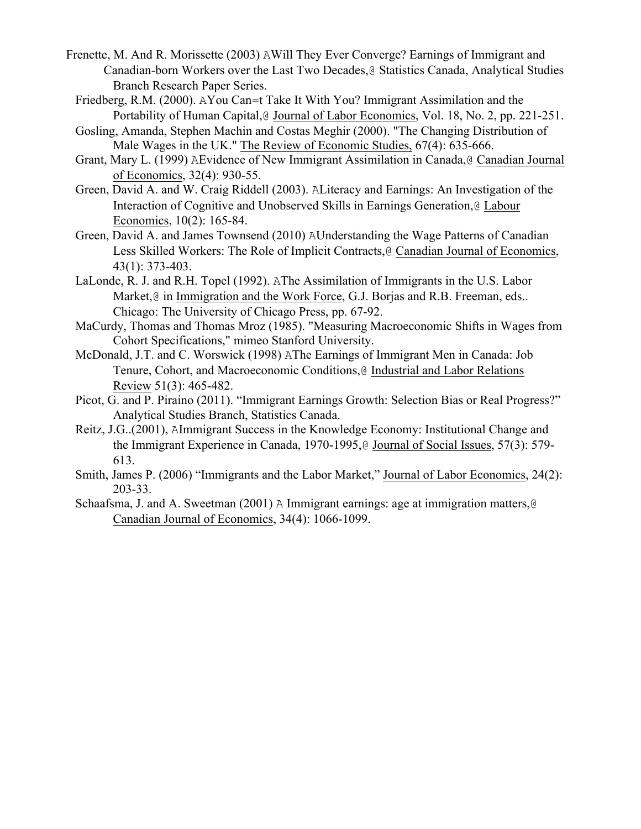- Frenette, M. And R. Morissette (2003) AWill They Ever Converge? Earnings of Immigrant and Canadian-born Workers over the Last Two Decades,@ Statistics Canada, Analytical Studies Branch Research Paper Series.
	- Friedberg, R.M. (2000). AYou Can=t Take It With You? Immigrant Assimilation and the Portability of Human Capital, @ Journal of Labor Economics, Vol. 18, No. 2, pp. 221-251.
	- Gosling, Amanda, Stephen Machin and Costas Meghir (2000). "The Changing Distribution of Male Wages in the UK." The Review of Economic Studies, 67(4): 635-666.
	- Grant, Mary L. (1999) AEvidence of New Immigrant Assimilation in Canada, @ Canadian Journal of Economics, 32(4): 930-55.
	- Green, David A. and W. Craig Riddell (2003). ALiteracy and Earnings: An Investigation of the Interaction of Cognitive and Unobserved Skills in Earnings Generation,@ Labour Economics, 10(2): 165-84.
	- Green, David A. and James Townsend (2010) AUnderstanding the Wage Patterns of Canadian Less Skilled Workers: The Role of Implicit Contracts, @ Canadian Journal of Economics, 43(1): 373-403.
	- LaLonde, R. J. and R.H. Topel (1992). AThe Assimilation of Immigrants in the U.S. Labor Market, @ in Immigration and the Work Force, G.J. Borjas and R.B. Freeman, eds.. Chicago: The University of Chicago Press, pp. 67-92.
	- MaCurdy, Thomas and Thomas Mroz (1985). "Measuring Macroeconomic Shifts in Wages from Cohort Specifications," mimeo Stanford University.
	- McDonald, J.T. and C. Worswick (1998) AThe Earnings of Immigrant Men in Canada: Job Tenure, Cohort, and Macroeconomic Conditions,@ Industrial and Labor Relations Review 51(3): 465-482.
	- Picot, G. and P. Piraino (2011). "Immigrant Earnings Growth: Selection Bias or Real Progress?" Analytical Studies Branch, Statistics Canada.
	- Reitz, J.G..(2001), AImmigrant Success in the Knowledge Economy: Institutional Change and the Immigrant Experience in Canada, 1970-1995,@ Journal of Social Issues, 57(3): 579- 613.
	- Smith, James P. (2006) "Immigrants and the Labor Market," Journal of Labor Economics, 24(2): 203-33.
	- Schaafsma, J. and A. Sweetman (2001) A Immigrant earnings: age at immigration matters,@ Canadian Journal of Economics, 34(4): 1066-1099.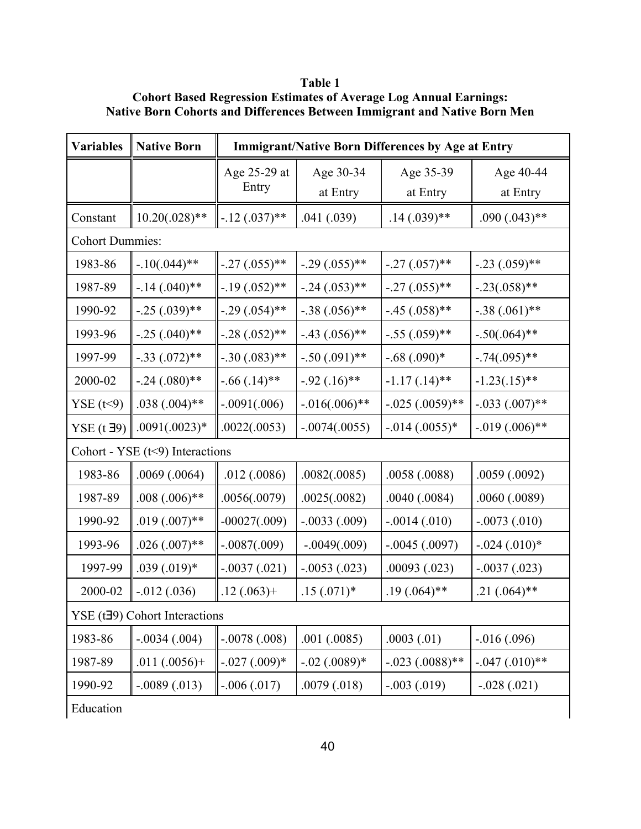**Table 1 Cohort Based Regression Estimates of Average Log Annual Earnings: Native Born Cohorts and Differences Between Immigrant and Native Born Men**

| <b>Variables</b>              | Native Born                       | <b>Immigrant/Native Born Differences by Age at Entry</b> |                       |                       |                       |  |
|-------------------------------|-----------------------------------|----------------------------------------------------------|-----------------------|-----------------------|-----------------------|--|
|                               |                                   | Age 25-29 at<br>Entry                                    | Age 30-34<br>at Entry | Age 35-39<br>at Entry | Age 40-44<br>at Entry |  |
| Constant                      | $10.20(.028)**$                   | $-.12(.037)$ **                                          | .041(.039)            | $.14(.039)$ **        | $.090(.043)$ **       |  |
| <b>Cohort Dummies:</b>        |                                   |                                                          |                       |                       |                       |  |
| 1983-86                       | $-.10(.044)$ **                   | $-.27(.055)$ **                                          | $-.29(.055)$ **       | $-.27(.057)$ **       | $-.23(.059)$ **       |  |
| 1987-89                       | $-.14(.040)$ **                   | $-19(0.052)$ **                                          | $-.24(.053)$ **       | $-.27(.055)$ **       | $-.23(.058)$ **       |  |
| 1990-92                       | $-.25(.039)$ **                   | $-.29(.054)$ **                                          | $-.38(.056)$ **       | $-.45(.058)**$        | $-.38(.061)$ **       |  |
| 1993-96                       | $-.25(.040)$ **                   | $-.28(.052)$ **                                          | $-.43(.056)$ **       | $-.55(.059)$ **       | $-.50(.064)$ **       |  |
| 1997-99                       | $-.33(.072)**$                    | $-.30(.083)$ **                                          | $-.50(.091)$ **       | $-.68(.090)*$         | $-.74(.095)$ **       |  |
| 2000-02                       | $-.24(.080)$ **                   | $-.66(.14)**$                                            | $-.92(.16)$ **        | $-1.17(.14)$ **       | $-1.23(.15)$ **       |  |
| YSE $(t<9)$                   | $.038(.004)$ **                   | $-.0091(.006)$                                           | $-.016(.006)$ **      | $-.025(.0059)$ **     | $-.033(.007)$ **      |  |
| $YSE(t) = 39$                 | $.0091(.0023)*$                   | .0022(.0053)                                             | $-.0074(.0055)$       | $-0.014$ $(.0055)*$   | $-.019(.006)$ **      |  |
|                               | Cohort - YSE $(t<9)$ Interactions |                                                          |                       |                       |                       |  |
| 1983-86                       | .0069(.0064)                      | .012(.0086)                                              | .0082(.0085)          | .0058(.0088)          | .0059(.0092)          |  |
| 1987-89                       | $.008(.006)$ **                   | .0056(.0079)                                             | .0025(.0082)          | .0040(.0084)          | .0060(.0089)          |  |
| 1990-92                       | $.019(.007)$ **                   | $-00027(.009)$                                           | $-.0033(.009)$        | $-.0014(.010)$        | $-.0073(.010)$        |  |
| 1993-96                       | $.026(.007)$ **                   | $-.0087(.009)$                                           | $-.0049(.009)$        | $-.0045(.0097)$       | $-.024(.010)*$        |  |
| 1997-99                       | $.039(.019)*$                     | $-.0037(.021)$                                           | $-.0053(.023)$        | .00093(.023)          | $-.0037(.023)$        |  |
| 2000-02                       | $-.012(.036)$                     | $.12(.063) +$                                            | $.15(.071)*$          | $.19(.064)$ **        | $.21(.064)$ **        |  |
| YSE (t39) Cohort Interactions |                                   |                                                          |                       |                       |                       |  |
| 1983-86                       | $-.0034(.004)$                    | $-.0078(.008)$                                           | .001(.0085)           | .0003(.01)            | $-0.016(.096)$        |  |
| 1987-89                       | $.011(.0056) +$                   | $-.027(.009)*$                                           | $-.02(.0089)*$        | $-.023(.0088)$ **     | $-.047(.010)**$       |  |
| 1990-92                       | $-.0089(.013)$                    | $-.006(.017)$                                            | .0079(.018)           | $-.003(.019)$         | $-.028(.021)$         |  |
|                               |                                   |                                                          |                       |                       |                       |  |

Education

 $\begin{array}{c} \hline \end{array}$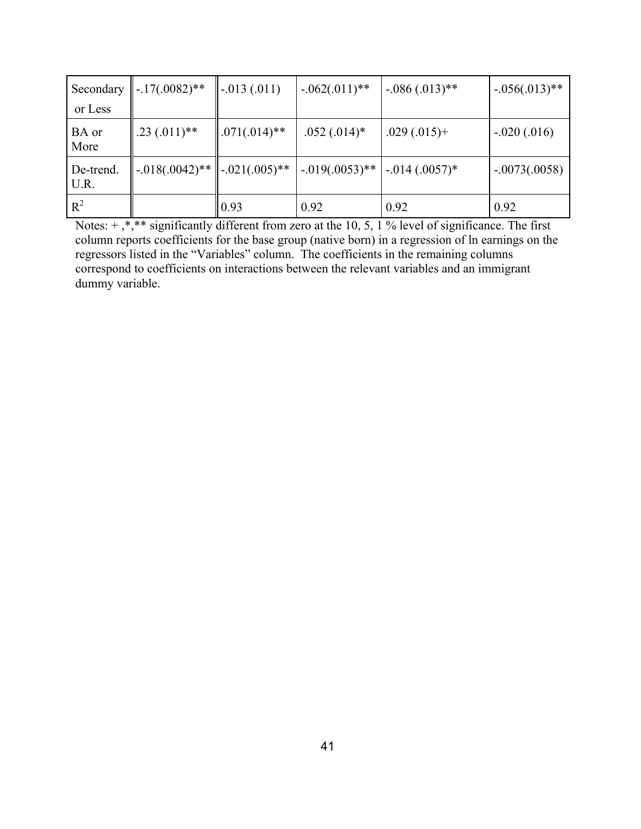| Secondary         | $-17(.0082)$ **                             | $-.013(.011)$   | $-0.062(0.011)$ ** | $-.086(.013)$ **              | $-0.056(0.013)$ ** |
|-------------------|---------------------------------------------|-----------------|--------------------|-------------------------------|--------------------|
| or Less           |                                             |                 |                    |                               |                    |
| BA or<br>More     | $.23(011)**$                                | $.071(.014)$ ** | $.052(.014)*$      | $.029(.015) +$                | $-.020(.016)$      |
| De-trend.<br>U.R. | $\left -.018(.0042)**\right $ -.021(.005)** |                 | $-0.019(.0053)$ ** | $-0.014$ (.0057) <sup>*</sup> | $-.0073(.0058)$    |
| $R^2$             |                                             | 0.93            | 0.92               | 0.92                          | 0.92               |

Notes:  $+,*,**$  significantly different from zero at the 10, 5, 1% level of significance. The first column reports coefficients for the base group (native born) in a regression of ln earnings on the regressors listed in the "Variables" column. The coefficients in the remaining columns correspond to coefficients on interactions between the relevant variables and an immigrant dummy variable.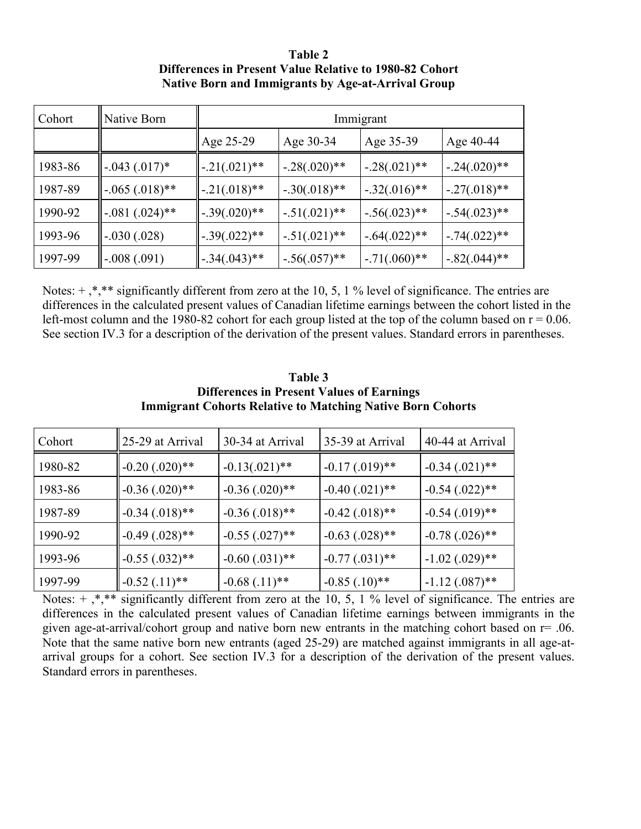| Cohort  | Native Born                     | Immigrant       |                 |                 |                 |
|---------|---------------------------------|-----------------|-----------------|-----------------|-----------------|
|         |                                 | Age 25-29       | Age 30-34       | Age 35-39       | Age 40-44       |
| 1983-86 | $-0.043$ $(0.017)$ <sup>*</sup> | $-21(.021)$ **  | $-.28(.020)**$  | $-.28(.021)$ ** | $-.24(.020)**$  |
| 1987-89 | $-0.065(0.018)$ **              | $-21(.018)$ **  | $-.30(.018)**$  | $-.32(.016)**$  | $-.27(.018)**$  |
| 1990-92 | $-0.081$ $(0.024)$ **           | $-.39(.020)**$  | $-.51(.021)$ ** | $-.56(.023)**$  | $-.54(.023)**$  |
| 1993-96 | $-0.030(0.028)$                 | $-.39(.022)**$  | $-.51(.021)$ ** | $-.64(.022)**$  | $-.74(.022)**$  |
| 1997-99 | $-.008(.091)$                   | $-.34(.043)$ ** | $-.56(.057)$ ** | $-.71(.060)$ ** | $-.82(.044)$ ** |

**Table 2 Differences in Present Value Relative to 1980-82 Cohort Native Born and Immigrants by Age-at-Arrival Group**

Notes:  $+$ ,\*,\*\* significantly different from zero at the 10, 5, 1 % level of significance. The entries are differences in the calculated present values of Canadian lifetime earnings between the cohort listed in the left-most column and the 1980-82 cohort for each group listed at the top of the column based on  $r = 0.06$ . See section IV.3 for a description of the derivation of the present values. Standard errors in parentheses.

**Table 3 Differences in Present Values of Earnings Immigrant Cohorts Relative to Matching Native Born Cohorts**

| Cohort  | 25-29 at Arrival   | 30-34 at Arrival    | 35-39 at Arrival    | 40-44 at Arrival    |
|---------|--------------------|---------------------|---------------------|---------------------|
| 1980-82 | $-0.20$ (.020)**   | $-0.13(.021)$ **    | $-0.17$ $(.019)$ ** | $-0.34$ $(.021)$ ** |
| 1983-86 | $-0.36$ (.020)**   | $-0.36$ (.020)**    | $-0.40$ $(.021)$ ** | $-0.54$ $(.022)**$  |
| 1987-89 | $-0.34$ (.018)**   | $-0.36$ (.018)**    | $-0.42$ (.018)**    | $-0.54$ (.019)**    |
| 1990-92 | $-0.49$ (.028)**   | $-0.55$ $(.027)$ ** | $-0.63$ $(.028)$ ** | $-0.78(.026)$ **    |
| 1993-96 | $-0.55$ $(.032)**$ | $-0.60$ $(.031)$ ** | $-0.77$ $(.031)$ ** | $-1.02$ (.029)**    |
| 1997-99 | $-0.52$ (.11)**    | $-0.68(0.11)$ **    | $-0.85$ (.10)**     | $-1.12(.087)$ **    |

Notes:  $+$ ,\*,\*\* significantly different from zero at the 10, 5, 1 % level of significance. The entries are differences in the calculated present values of Canadian lifetime earnings between immigrants in the given age-at-arrival/cohort group and native born new entrants in the matching cohort based on r= .06. Note that the same native born new entrants (aged 25-29) are matched against immigrants in all age-atarrival groups for a cohort. See section IV.3 for a description of the derivation of the present values. Standard errors in parentheses.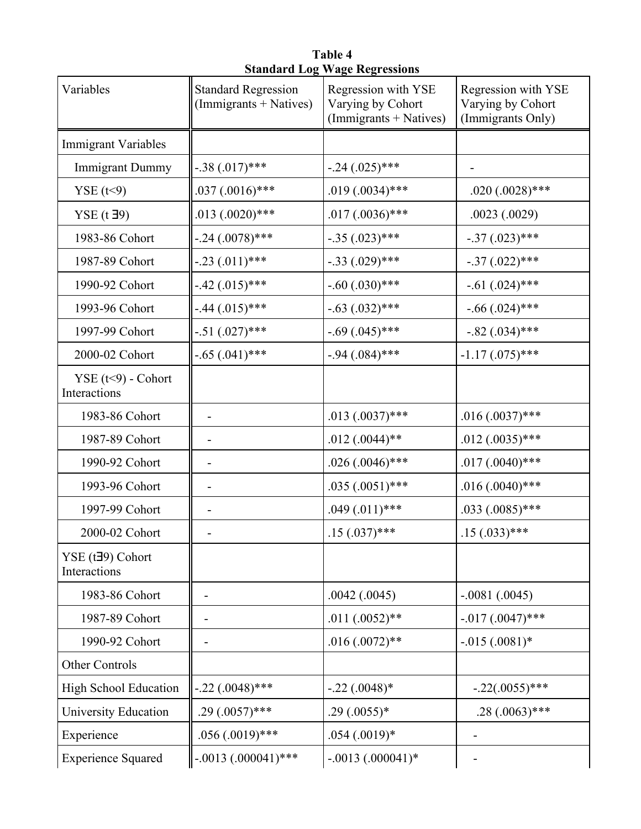| Variables                            | <b>Standard Regression</b><br>(Immigrants + Natives) | Regression with YSE<br>Varying by Cohort<br>(Immigrants + Natives) | Regression with YSE<br>Varying by Cohort<br>(Immigrants Only) |
|--------------------------------------|------------------------------------------------------|--------------------------------------------------------------------|---------------------------------------------------------------|
| <b>Immigrant Variables</b>           |                                                      |                                                                    |                                                               |
| <b>Immigrant Dummy</b>               | $-.38(.017)$ ***                                     | $-.24(.025)$ ***                                                   |                                                               |
| YSE $(t<9)$                          | $.037(.0016)$ ***                                    | $.019(.0034)$ ***                                                  | .020 $(.0028)$ ***                                            |
| $YSE(t) = 9$                         | $.013(.0020)$ ***                                    | $.017(.0036)$ ***                                                  | .0023(.0029)                                                  |
| 1983-86 Cohort                       | $-.24(.0078)$ ***                                    | $-.35(.023)$ ***                                                   | $-.37(.023)$ ***                                              |
| 1987-89 Cohort                       | $-.23(.011)$ ***                                     | $-.33(.029)$ ***                                                   | $-.37(.022)$ ***                                              |
| 1990-92 Cohort                       | $-.42(.015)$ ***                                     | $-.60(.030)$ ***                                                   | $-.61(.024)$ ***                                              |
| 1993-96 Cohort                       | $-44$ (.015)***                                      | $-.63(.032)$ ***                                                   | $-.66(.024)$ ***                                              |
| 1997-99 Cohort                       | $-51(.027)$ ***                                      | $-.69(.045)$ ***                                                   | $-.82(.034)$ ***                                              |
| 2000-02 Cohort                       | $-.65(.041)$ ***                                     | $-.94(.084)$ ***                                                   | $-1.17(075)$ ***                                              |
| YSE $(t<9)$ - Cohort<br>Interactions |                                                      |                                                                    |                                                               |
| 1983-86 Cohort                       |                                                      | $.013(.0037)$ ***                                                  | $.016(.0037)$ ***                                             |
| 1987-89 Cohort                       |                                                      | $.012(.0044)$ **                                                   | $.012(.0035)$ ***                                             |
| 1990-92 Cohort                       |                                                      | $.026(.0046)$ ***                                                  | $.017(.0040)$ ***                                             |
| 1993-96 Cohort                       |                                                      | $.035(.0051)$ ***                                                  | $.016(.0040)$ ***                                             |
| 1997-99 Cohort                       |                                                      | $.049(.011)$ ***                                                   | $.033(.0085)$ ***                                             |
| 2000-02 Cohort                       |                                                      | $.15(.037)$ ***                                                    | $.15(.033)$ ***                                               |
| YSE (t39) Cohort<br>Interactions     |                                                      |                                                                    |                                                               |
| 1983-86 Cohort                       |                                                      | .0042(.0045)                                                       | $-.0081(.0045)$                                               |
| 1987-89 Cohort                       |                                                      | $.011(.0052)**$                                                    | $-.017(.0047)$ ***                                            |
| 1990-92 Cohort                       |                                                      | $.016(.0072)**$                                                    | $-0.015(.0081)$ *                                             |
| Other Controls                       |                                                      |                                                                    |                                                               |
| <b>High School Education</b>         | $-.22(.0048)$ ***                                    | $-.22(.0048)*$                                                     | $-0.22(.0055)$ ***                                            |
| University Education                 | $.29(.0057)$ ***                                     | $.29(.0055)*$                                                      | $.28(.0063)$ ***                                              |
| Experience                           | $.056(.0019)$ ***                                    | $.054(.0019)*$                                                     | $\blacksquare$                                                |
| <b>Experience Squared</b>            | $-.0013(.000041)$ ***                                | $-.0013(.000041)*$                                                 |                                                               |

**Table 4 Standard Log Wage Regressions**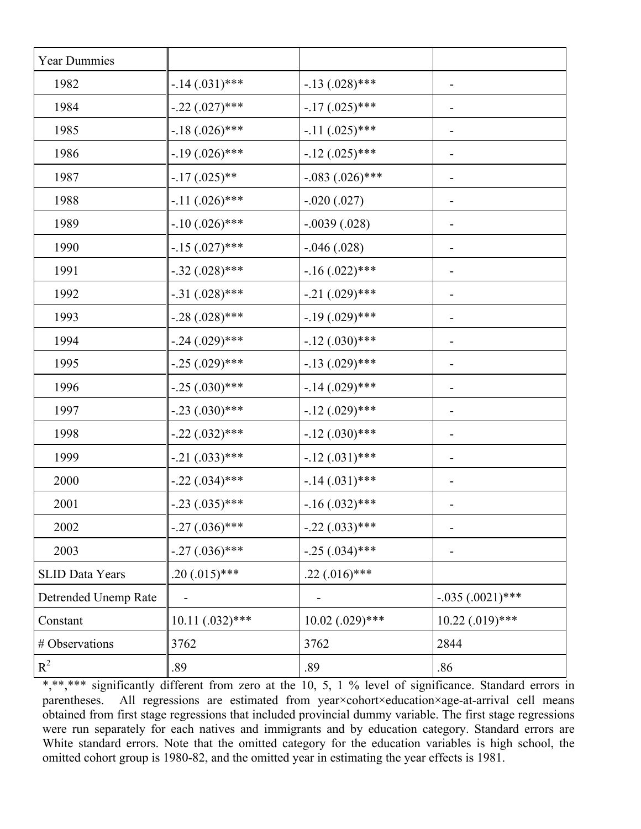| <b>Year Dummies</b>    |                   |                   |                              |
|------------------------|-------------------|-------------------|------------------------------|
| 1982                   | $-14(031)$ ***    | $-.13(.028)$ ***  |                              |
| 1984                   | $-.22(.027)$ ***  | $-.17(.025)$ ***  |                              |
| 1985                   | $-.18(.026)$ ***  | $-.11(.025)$ ***  |                              |
| 1986                   | $-19(0.026)$ ***  | $-12(.025)$ ***   |                              |
| 1987                   | $-17(.025)$ **    | $-.083(.026)$ *** |                              |
| 1988                   | $-.11(.026)$ ***  | $-.020(.027)$     |                              |
| 1989                   | $-.10(.026)$ ***  | $-.0039(.028)$    | $\qquad \qquad \blacksquare$ |
| 1990                   | $-15(0.027)$ ***  | $-.046(.028)$     |                              |
| 1991                   | $-.32(.028)$ ***  | $-16(.022)$ ***   |                              |
| 1992                   | $-.31(.028)$ ***  | $-.21(.029)$ ***  |                              |
| 1993                   | $-.28(.028)$ ***  | $-.19(.029)$ ***  |                              |
| 1994                   | $-.24(.029)$ ***  | $-.12(.030)$ ***  |                              |
| 1995                   | $-.25(.029)$ ***  | $-.13(.029)$ ***  |                              |
| 1996                   | $-.25(.030)$ ***  | $-.14(.029)$ ***  | $\qquad \qquad \blacksquare$ |
| 1997                   | $-.23(.030)$ ***  | $-.12(.029)$ ***  |                              |
| 1998                   | $-.22(.032)$ ***  | $-.12(.030)$ ***  |                              |
| 1999                   | $-.21(.033)$ ***  | $-12(0.031)$ ***  |                              |
| 2000                   | $-.22(.034)$ ***  | $-14(031)$ ***    |                              |
| 2001                   | $-.23(.035)$ ***  | $-16(.032)$ ***   |                              |
| 2002                   | $-.27(.036)$ ***  | $-.22(.033)$ ***  |                              |
| 2003                   | $-.27(.036)$ ***  | $-.25(.034)$ ***  |                              |
| <b>SLID Data Years</b> | $.20(.015)$ ***   | $.22(.016)$ ***   |                              |
| Detrended Unemp Rate   |                   |                   | $-.035(.0021)$ ***           |
| Constant               | $10.11(.032)$ *** | $10.02$ (.029)*** | $10.22$ (.019)***            |
| # Observations         | 3762              | 3762              | 2844                         |
| $R^2$                  | .89               | .89               | .86                          |

\*,\*\*,\*\*\* significantly different from zero at the 10, 5, 1 % level of significance. Standard errors in parentheses. All regressions are estimated from year×cohort×education×age-at-arrival cell means obtained from first stage regressions that included provincial dummy variable. The first stage regressions were run separately for each natives and immigrants and by education category. Standard errors are White standard errors. Note that the omitted category for the education variables is high school, the omitted cohort group is 1980-82, and the omitted year in estimating the year effects is 1981.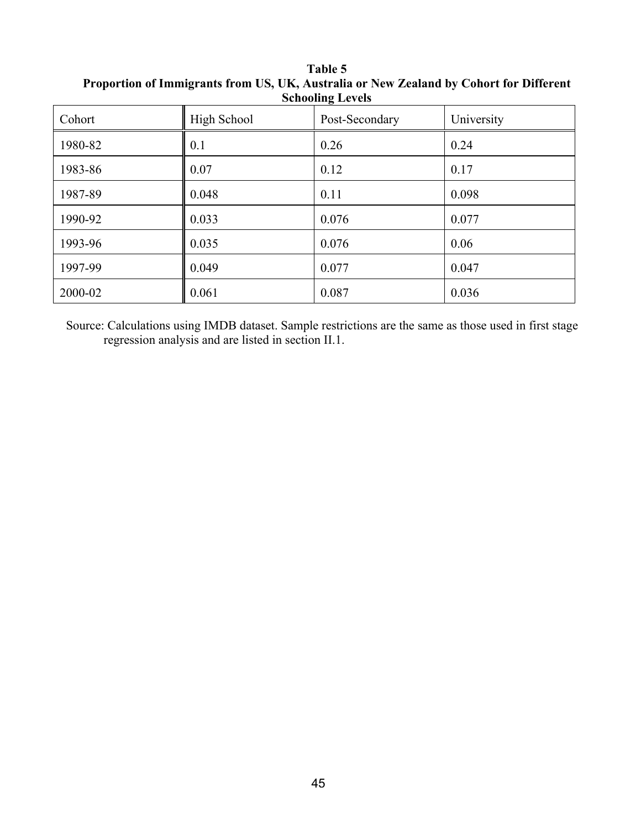**Table 5 Proportion of Immigrants from US, UK, Australia or New Zealand by Cohort for Different Schooling Levels**

| Cohort  | High School | o<br>Post-Secondary | University |
|---------|-------------|---------------------|------------|
| 1980-82 | 0.1         | 0.26                | 0.24       |
| 1983-86 | 0.07        | 0.12                | 0.17       |
| 1987-89 | 0.048       | 0.11                | 0.098      |
| 1990-92 | 0.033       | 0.076               | 0.077      |
| 1993-96 | 0.035       | 0.076               | 0.06       |
| 1997-99 | 0.049       | 0.077               | 0.047      |
| 2000-02 | 0.061       | 0.087               | 0.036      |

Source: Calculations using IMDB dataset. Sample restrictions are the same as those used in first stage regression analysis and are listed in section II.1.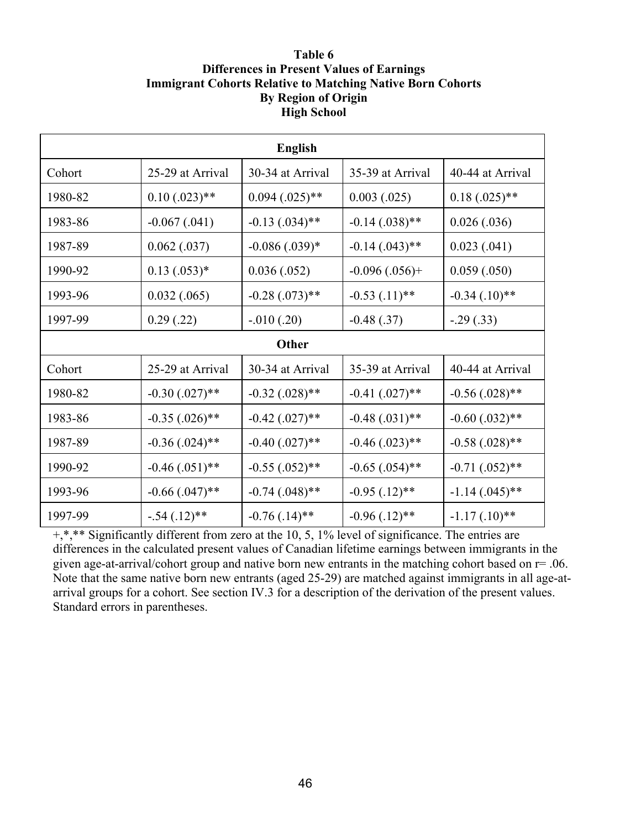# **Table 6 Differences in Present Values of Earnings Immigrant Cohorts Relative to Matching Native Born Cohorts By Region of Origin High School**

| <b>English</b> |                     |                                |                     |                     |  |
|----------------|---------------------|--------------------------------|---------------------|---------------------|--|
| Cohort         | 25-29 at Arrival    | 30-34 at Arrival               | 35-39 at Arrival    | 40-44 at Arrival    |  |
| 1980-82        | $0.10(0.023)$ **    | $0.094$ $(.025)$ **            | 0.003(0.025)        | $0.18(.025)$ **     |  |
| 1983-86        | $-0.067(0.041)$     | $-0.13$ $(.034)$ <sup>**</sup> | $-0.14$ (.038)**    | 0.026(.036)         |  |
| 1987-89        | 0.062(0.037)        | $-0.086$ $(.039)*$             | $-0.14$ $(.043)$ ** | 0.023(0.041)        |  |
| 1990-92        | $0.13(0.053)*$      | 0.036(.052)                    | $-0.096(.056) +$    | 0.059(.050)         |  |
| 1993-96        | 0.032(0.065)        | $-0.28$ (.073)**               | $-0.53$ $(.11)$ **  | $-0.34$ $(.10)$ **  |  |
| 1997-99        | 0.29(0.22)          | $-.010(.20)$                   | $-0.48(.37)$        | $-.29(.33)$         |  |
|                |                     | <b>Other</b>                   |                     |                     |  |
| Cohort         | 25-29 at Arrival    | 30-34 at Arrival               | 35-39 at Arrival    | 40-44 at Arrival    |  |
| 1980-82        | $-0.30$ $(.027)$ ** | $-0.32$ $(.028)$ **            | $-0.41$ $(.027)$ ** | $-0.56$ (.028)**    |  |
| 1983-86        | $-0.35$ $(.026)$ ** | $-0.42$ $(.027)$ **            | $-0.48$ $(.031)$ ** | $-0.60$ $(.032)**$  |  |
| 1987-89        | $-0.36$ $(.024)$ ** | $-0.40$ $(.027)$ **            | $-0.46$ (.023)**    | $-0.58$ $(.028)$ ** |  |
| 1990-92        | $-0.46$ $(.051)$ ** | $-0.55$ $(.052)$ **            | $-0.65$ $(.054)$ ** | $-0.71$ $(.052)**$  |  |
| 1993-96        | $-0.66$ $(.047)$ ** | $-0.74$ (.048)**               | $-0.95$ (.12)**     | $-1.14(.045)$ **    |  |
| 1997-99        | $-.54(.12)$ **      | $-0.76$ (.14)**                | $-0.96$ (.12)**     | $-1.17(0.10)$ **    |  |

+,\*,\*\* Significantly different from zero at the 10, 5, 1% level of significance. The entries are differences in the calculated present values of Canadian lifetime earnings between immigrants in the given age-at-arrival/cohort group and native born new entrants in the matching cohort based on r= .06. Note that the same native born new entrants (aged 25-29) are matched against immigrants in all age-atarrival groups for a cohort. See section IV.3 for a description of the derivation of the present values. Standard errors in parentheses.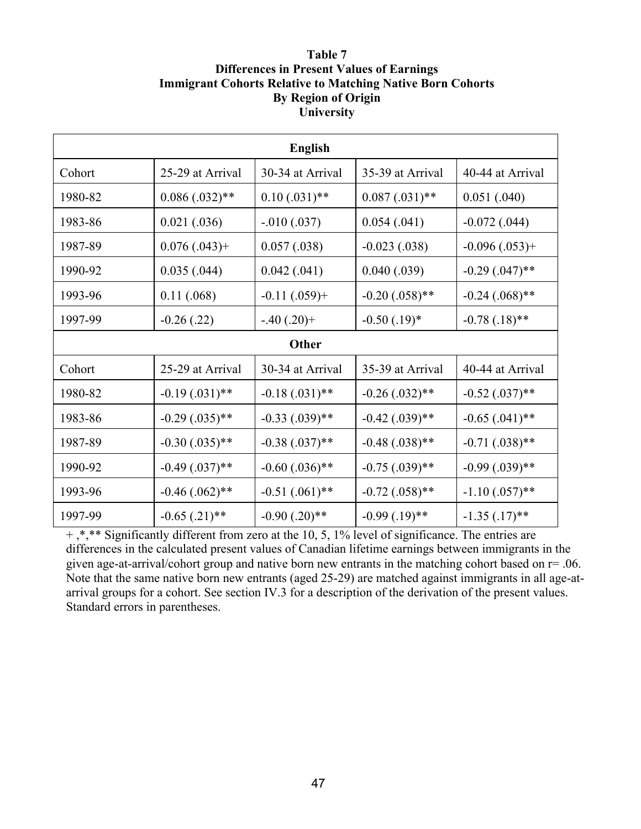# **Table 7 Differences in Present Values of Earnings Immigrant Cohorts Relative to Matching Native Born Cohorts By Region of Origin University**

| <b>English</b> |                     |                     |                    |                     |
|----------------|---------------------|---------------------|--------------------|---------------------|
| Cohort         | 25-29 at Arrival    | 30-34 at Arrival    | 35-39 at Arrival   | 40-44 at Arrival    |
| 1980-82        | $0.086$ $(.032)**$  | $0.10(0.031)$ **    | $0.087(0.031)$ **  | 0.051(.040)         |
| 1983-86        | 0.021(0.036)        | $-.010(.037)$       | 0.054(0.041)       | $-0.072$ (.044)     |
| 1987-89        | $0.076(.043) +$     | 0.057(0.038)        | $-0.023(0.038)$    | $-0.096(.053) +$    |
| 1990-92        | 0.035(.044)         | 0.042(0.041)        | 0.040(0.039)       | $-0.29$ $(.047)$ ** |
| 1993-96        | 0.11(.068)          | $-0.11(.059) +$     | $-0.20$ (.058)**   | $-0.24$ (.068)**    |
| 1997-99        | $-0.26(0.22)$       | $-.40(.20) +$       | $-0.50$ $(.19)*$   | $-0.78(.18)$ **     |
|                |                     | Other               |                    |                     |
| Cohort         | 25-29 at Arrival    | 30-34 at Arrival    | 35-39 at Arrival   | 40-44 at Arrival    |
| 1980-82        | $-0.19(0.031)$ **   | $-0.18(.031)$ **    | $-0.26$ $(.032)**$ | $-0.52$ (.037)**    |
| 1983-86        | $-0.29$ $(.035)$ ** | $-0.33$ $(.039)$ ** | $-0.42$ (.039)**   | $-0.65$ $(.041)$ ** |
| 1987-89        | $-0.30$ (.035)**    | $-0.38$ $(.037)$ ** | $-0.48$ (.038)**   | $-0.71$ (.038)**    |
| 1990-92        | $-0.49$ $(.037)$ ** | $-0.60$ $(.036)$ ** | $-0.75$ (.039)**   | $-0.99$ $(.039)$ ** |
| 1993-96        | $-0.46$ (.062)**    | $-0.51$ (.061)**    | $-0.72$ (.058)**   | $-1.10(.057)$ **    |
| 1997-99        | $-0.65$ $(.21)$ **  | $-0.90(0.20)$ **    | $-0.99(0.19)$ **   | $-1.35(.17)$ **     |

+ ,\*,\*\* Significantly different from zero at the 10, 5, 1% level of significance. The entries are differences in the calculated present values of Canadian lifetime earnings between immigrants in the given age-at-arrival/cohort group and native born new entrants in the matching cohort based on r= .06. Note that the same native born new entrants (aged 25-29) are matched against immigrants in all age-atarrival groups for a cohort. See section IV.3 for a description of the derivation of the present values. Standard errors in parentheses.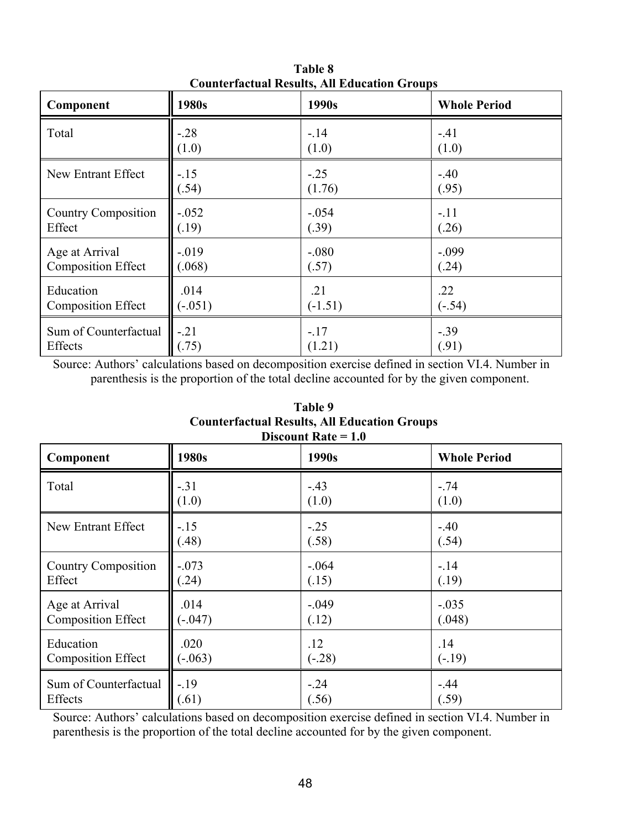| Component                  | 1980s     | 1990s     | <b>Whole Period</b> |
|----------------------------|-----------|-----------|---------------------|
| Total                      | $-28$     | $-14$     | $-41$               |
|                            | (1.0)     | (1.0)     | (1.0)               |
| New Entrant Effect         | $-15$     | $-.25$    | $-.40$              |
|                            | (.54)     | (1.76)    | (.95)               |
| <b>Country Composition</b> | $-0.052$  | $-0.054$  | $-.11$              |
| Effect                     | (.19)     | (.39)     | (.26)               |
| Age at Arrival             | $-0.019$  | $-080$    | $-.099$             |
| <b>Composition Effect</b>  | (.068)    | (.57)     | (.24)               |
| Education                  | .014      | .21       | .22                 |
| <b>Composition Effect</b>  | $(-.051)$ | $(-1.51)$ | $(-.54)$            |
| Sum of Counterfactual      | $-21$     | $-17$     | $-.39$              |
| Effects                    | (.75)     | (1.21)    | (.91)               |

**Table 8 Counterfactual Results, All Education Groups**

Source: Authors' calculations based on decomposition exercise defined in section VI.4. Number in parenthesis is the proportion of the total decline accounted for by the given component.

**Table 9 Counterfactual Results, All Education Groups Discount Rate = 1.0**

| Component                  | 1980s     | 1990s    | <b>Whole Period</b> |
|----------------------------|-----------|----------|---------------------|
| Total                      | $-.31$    | $-43$    | $-.74$              |
|                            | (1.0)     | (1.0)    | (1.0)               |
| New Entrant Effect         | $-.15$    | $-.25$   | $-.40$              |
|                            | (.48)     | (.58)    | (.54)               |
| <b>Country Composition</b> | $-.073$   | $-0.064$ | $-14$               |
| Effect                     | (.24)     | (.15)    | (.19)               |
| Age at Arrival             | .014      | $-.049$  | $-.035$             |
| <b>Composition Effect</b>  | $(-.047)$ | (.12)    | (.048)              |
| Education                  | .020      | .12      | .14                 |
| <b>Composition Effect</b>  | $(-.063)$ | $(-.28)$ | $(-.19)$            |
| Sum of Counterfactual      | $-.19$    | $-0.24$  | $-44$               |
| Effects                    | (.61)     | (.56)    | (.59)               |

Source: Authors' calculations based on decomposition exercise defined in section VI.4. Number in parenthesis is the proportion of the total decline accounted for by the given component.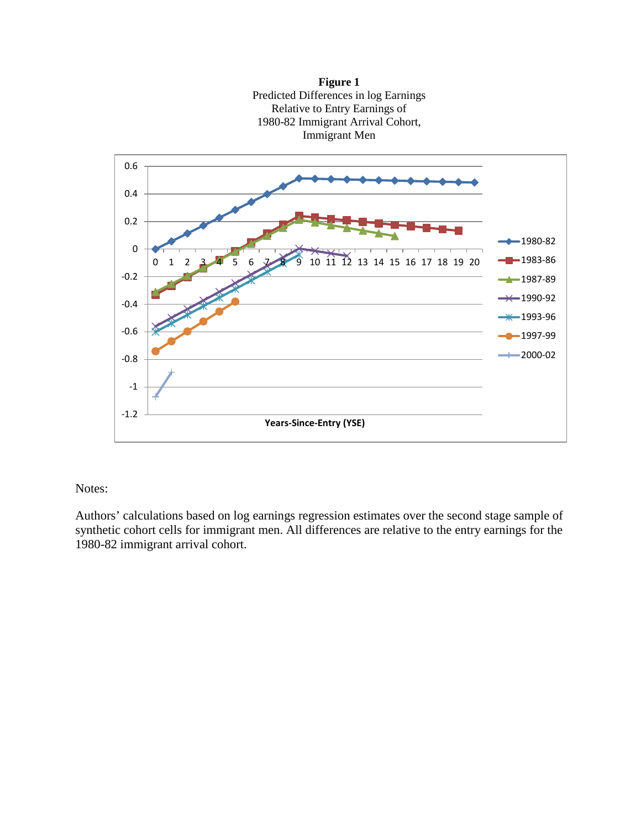

Authors' calculations based on log earnings regression estimates over the second stage sample of synthetic cohort cells for immigrant men. All differences are relative to the entry earnings for the 1980-82 immigrant arrival cohort.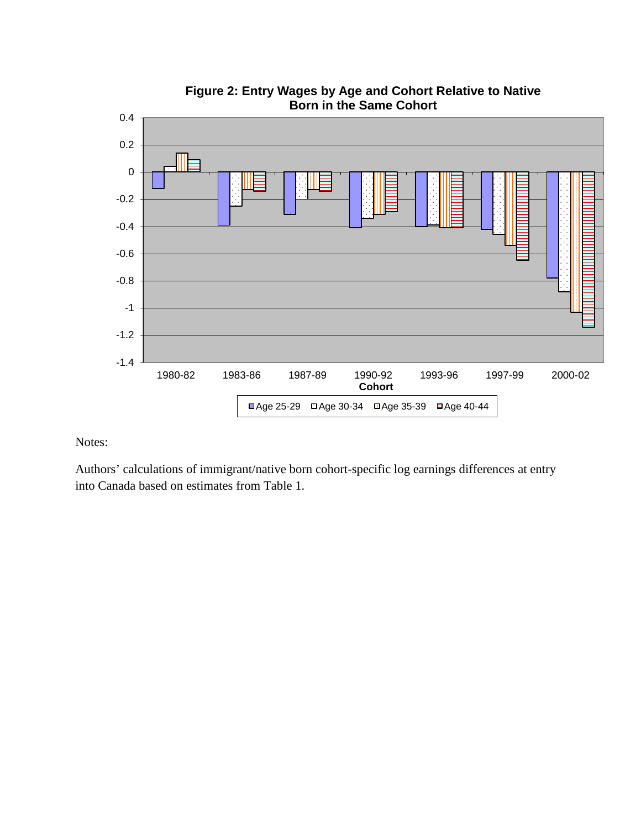

# **Figure 2: Entry Wages by Age and Cohort Relative to Native Born in the Same Cohort**

Notes:

Authors' calculations of immigrant/native born cohort-specific log earnings differences at entry into Canada based on estimates from Table 1.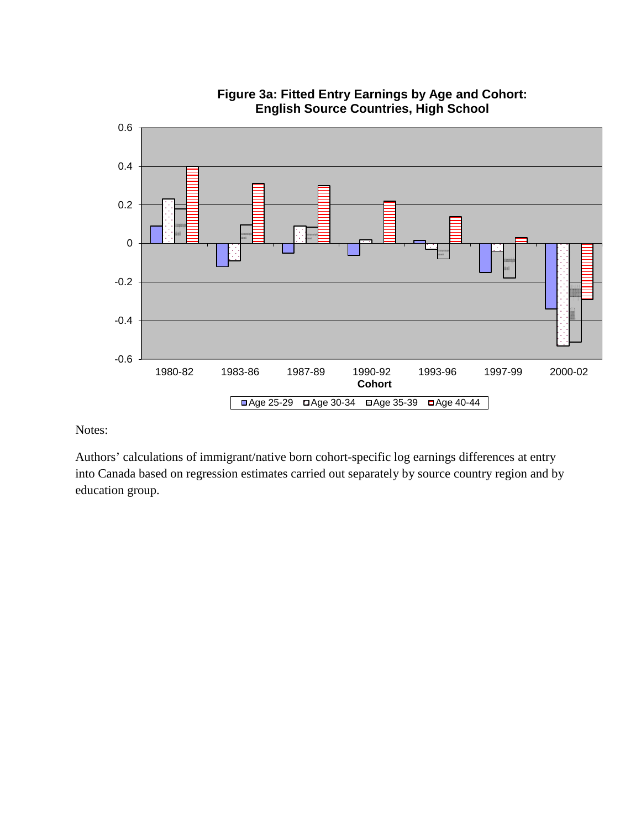

# **Figure 3a: Fitted Entry Earnings by Age and Cohort: English Source Countries, High School**

Notes: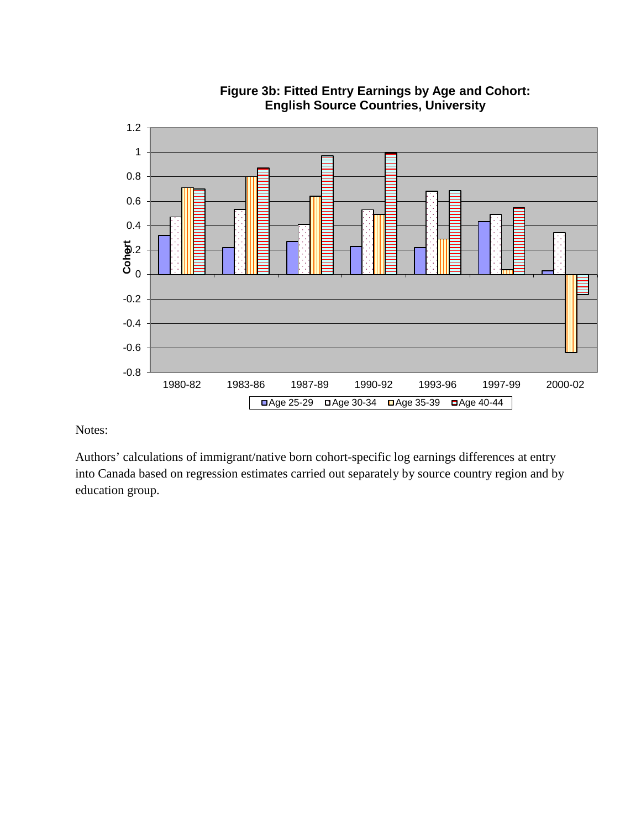

**Figure 3b: Fitted Entry Earnings by Age and Cohort: English Source Countries, University**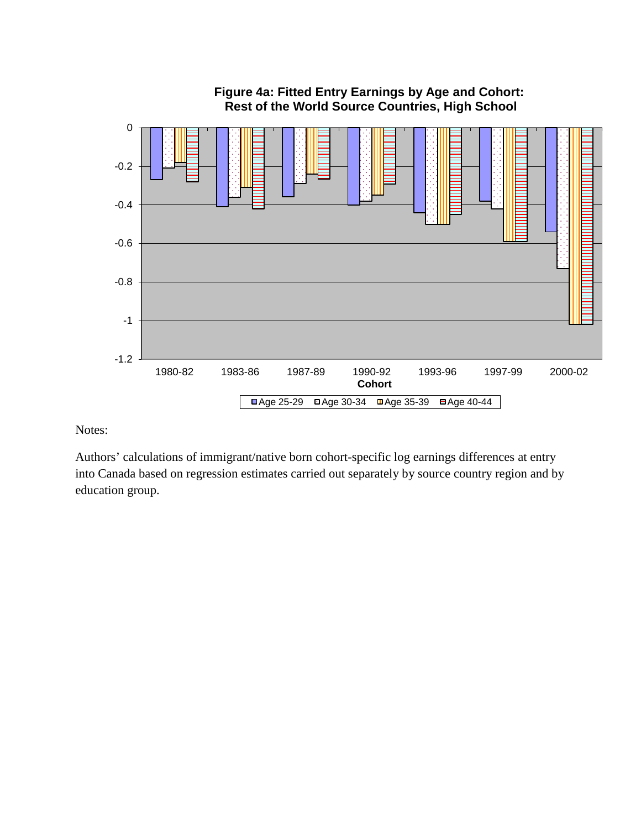